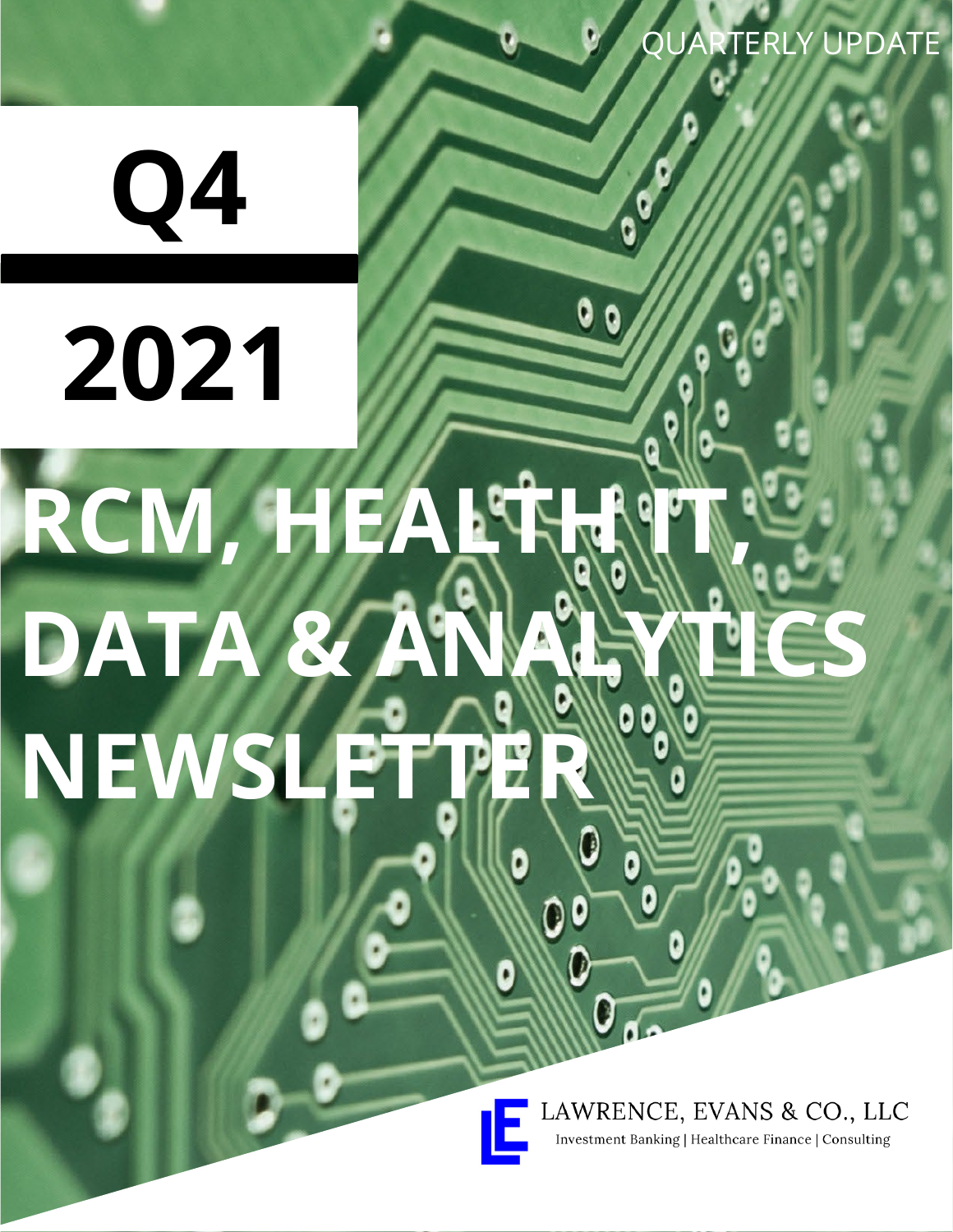**Q4**

**2021**

# RCM, HEALTH IN **DATA & ANALYTICS NEWSLET** of  $\mathbb{R}$ RCM, HEALTHANT **DATA** NEWSLETTER

LAWRENCE, EVANS & CO., LLC Investment Banking | Healthcare Finance | Consulting

*Q3 2018 M&A Update RCM, ANARTERLY UPDATE*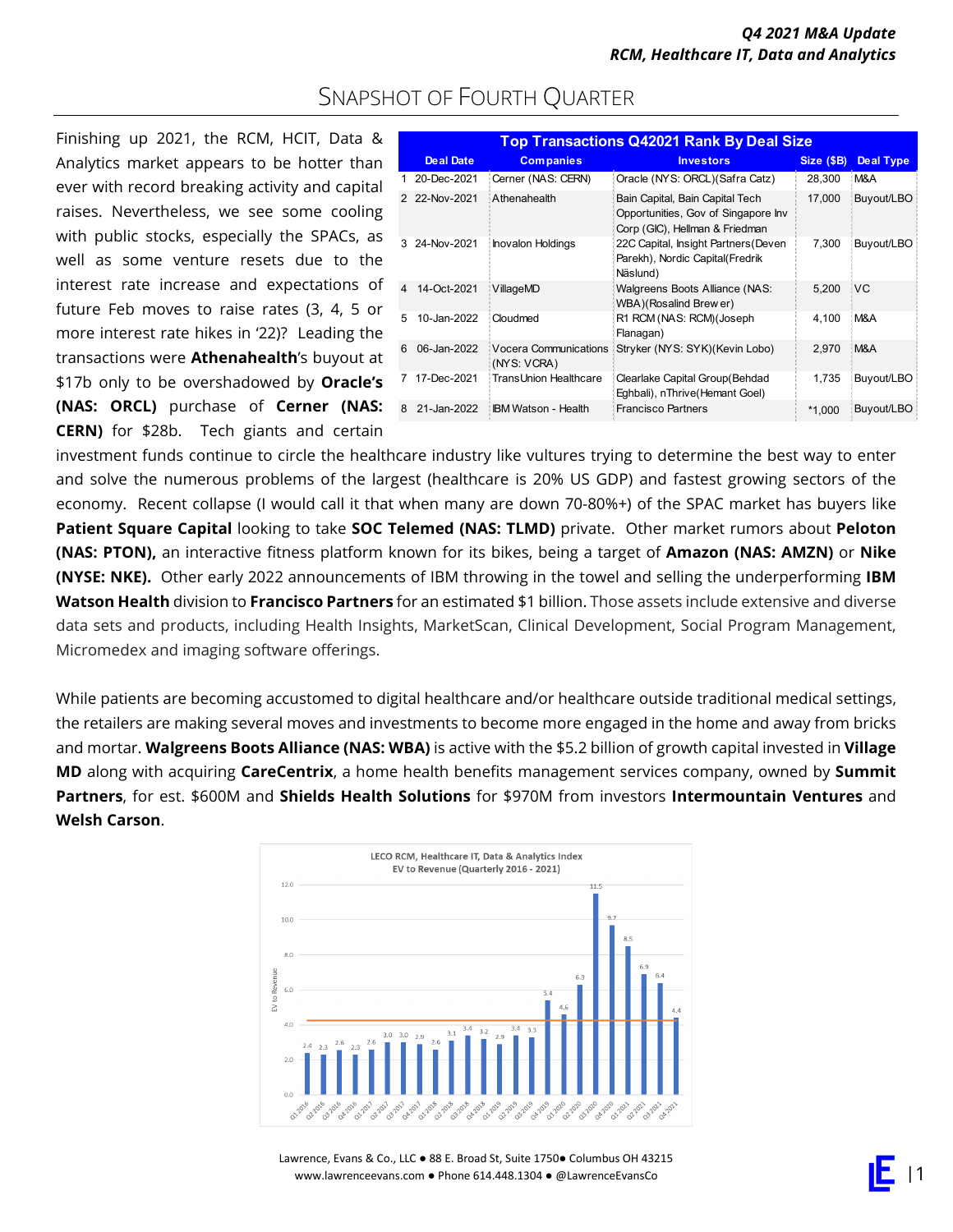### SNAPSHOT OF FOURTH QUARTER

Finishing up 2021, the RCM, HCIT, Data & Analytics market appears to be hotter than ever with record breaking activity and capital raises. Nevertheless, we see some cooling with public stocks, especially the SPACs, as well as some venture resets due to the interest rate increase and expectations of future Feb moves to raise rates (3, 4, 5 or more interest rate hikes in '22)? Leading the transactions were **Athenahealth**'s buyout at \$17b only to be overshadowed by **Oracle's (NAS: ORCL)** purchase of **Cerner (NAS: CERN)** for \$28b. Tech giants and certain

|   | <b>Top Transactions Q42021 Rank By Deal Size</b> |                                      |                                                                                                          |            |                  |  |  |  |  |  |
|---|--------------------------------------------------|--------------------------------------|----------------------------------------------------------------------------------------------------------|------------|------------------|--|--|--|--|--|
|   | <b>Deal Date</b>                                 | <b>Companies</b>                     | <b>Investors</b>                                                                                         | Size (\$B) | <b>Deal Type</b> |  |  |  |  |  |
|   | 20-Dec-2021                                      | Cerner (NAS: CERN)                   | Oracle (NYS: ORCL) (Safra Catz)                                                                          | 28,300     | M&A              |  |  |  |  |  |
|   | 2 22-Nov-2021                                    | Athenahealth                         | Bain Capital, Bain Capital Tech<br>Opportunities, Gov of Singapore Inv<br>Corp (GIC), Hellman & Friedman | 17.000     | Buyout/LBO       |  |  |  |  |  |
| 3 | 24-Nov-2021                                      | <b>Inovalon Holdings</b>             | 22C Capital, Insight Partners (Deven<br>Parekh), Nordic Capital(Fredrik<br>Näslund)                      | 7.300      | Buyout/LBO       |  |  |  |  |  |
| 4 | 14-Oct-2021                                      | VillageMD                            | Walgreens Boots Alliance (NAS:<br>WBA)(Rosalind Brew er)                                                 | 5.200      | :VC              |  |  |  |  |  |
| 5 | 10-Jan-2022                                      | Cloudmed                             | R1 RCM (NAS: RCM) (Joseph<br>Flanagan)                                                                   | 4.100      | M&A              |  |  |  |  |  |
| 6 | 06-Jan-2022                                      | Vocera Communications<br>(NYS: VCRA) | Stryker (NYS: SYK)(Kevin Lobo)                                                                           | 2.970      | : M&A            |  |  |  |  |  |
|   | 17-Dec-2021                                      | TransUnion Healthcare                | Clearlake Capital Group (Behdad<br>Eghbali), nThrive (Hemant Goel)                                       | 1.735      | Buyout/LBO       |  |  |  |  |  |
| 8 | 21-Jan-2022                                      | <b>IBM Watson - Health</b>           | <b>Francisco Partners</b>                                                                                | $*1.000$   | Buyout/LBO       |  |  |  |  |  |

investment funds continue to circle the healthcare industry like vultures trying to determine the best way to enter and solve the numerous problems of the largest (healthcare is 20% US GDP) and fastest growing sectors of the economy. Recent collapse (I would call it that when many are down 70-80%+) of the SPAC market has buyers like **Patient Square Capital** looking to take **SOC Telemed (NAS: TLMD)** private. Other market rumors about **Peloton (NAS: PTON),** an interactive fitness platform known for its bikes, being a target of **Amazon (NAS: AMZN)** or **Nike (NYSE: NKE).** Other early 2022 announcements of IBM throwing in the towel and selling the underperforming **IBM Watson Health** division to **Francisco Partners** for an estimated \$1 billion. Those assets include extensive and diverse data sets and products, including Health Insights, MarketScan, Clinical Development, Social Program Management, Micromedex and imaging software offerings.

While patients are becoming accustomed to digital healthcare and/or healthcare outside traditional medical settings, the retailers are making several moves and investments to become more engaged in the home and away from bricks and mortar. **Walgreens Boots Alliance (NAS: WBA)** is active with the \$5.2 billion of growth capital invested in **Village MD** along with acquiring **CareCentrix**, a home health benefits management services company, owned by **Summit Partners**, for est. \$600M and **Shields Health Solutions** for \$970M from investors **Intermountain Ventures** and **Welsh Carson**.



Lawrence, Evans & Co., LLC ● 88 E. Broad St, Suite 1750● Columbus OH 43215 www.lawrenceevans.com ● Phone 614.448.1304 ● @LawrenceEvansCo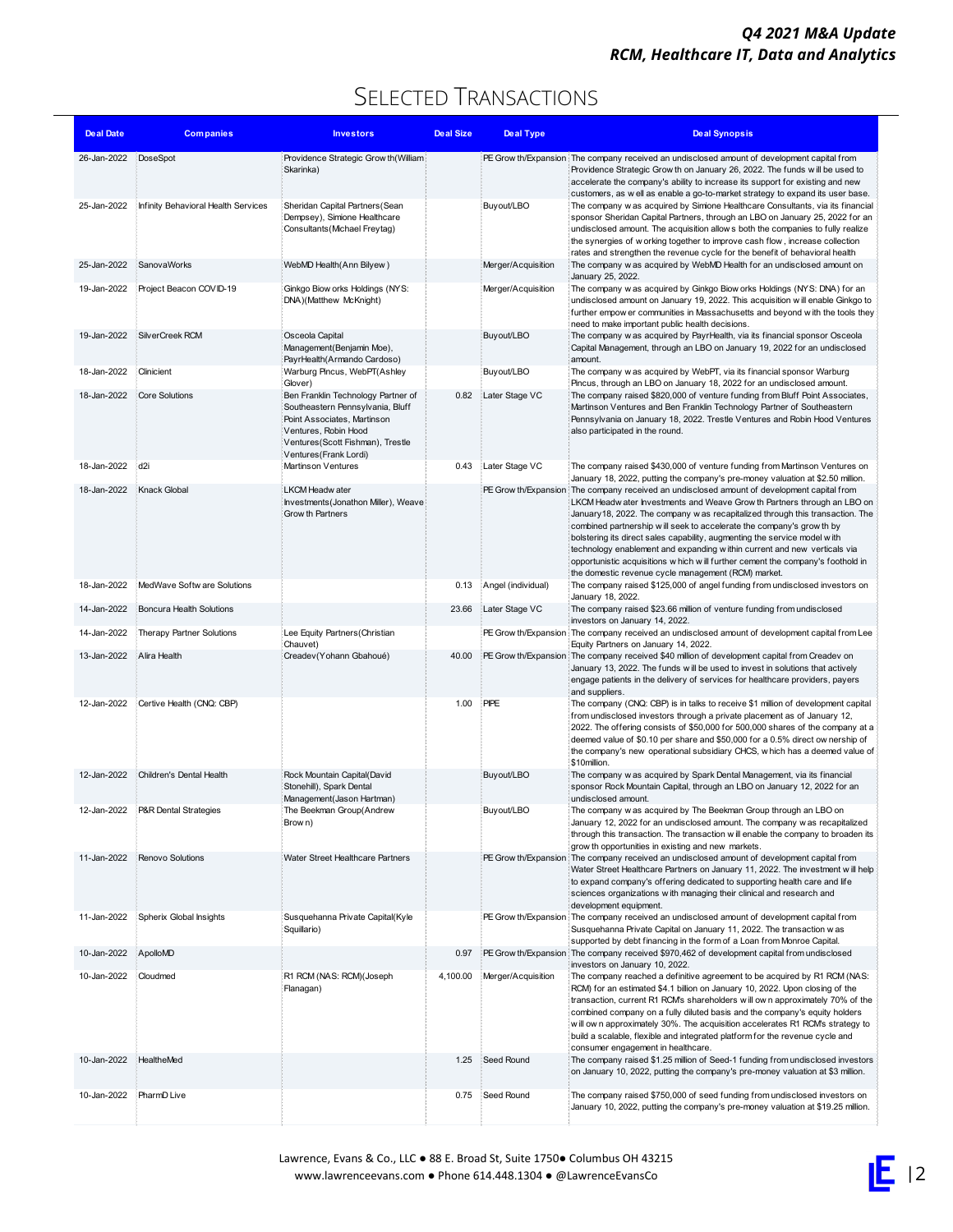### SELECTED TRANSACTIONS

| <b>Deal Date</b> | <b>Companies</b>                    | <b>Investors</b>                                                                                                                                       | Deal Size | Deal Type          | <b>Deal Synopsis</b>                                                                                                                                                                                                                                                                                                                                                                                                                                                                                                                    |
|------------------|-------------------------------------|--------------------------------------------------------------------------------------------------------------------------------------------------------|-----------|--------------------|-----------------------------------------------------------------------------------------------------------------------------------------------------------------------------------------------------------------------------------------------------------------------------------------------------------------------------------------------------------------------------------------------------------------------------------------------------------------------------------------------------------------------------------------|
| 26-Jan-2022      | DoseSpot                            | Providence Strategic Grow th(William)                                                                                                                  |           |                    | PE Grow th/Expansion The company received an undisclosed amount of development capital from                                                                                                                                                                                                                                                                                                                                                                                                                                             |
|                  |                                     | Skarinka)                                                                                                                                              |           |                    | Providence Strategic Grow th on January 26, 2022. The funds will be used to<br>accelerate the company's ability to increase its support for existing and new                                                                                                                                                                                                                                                                                                                                                                            |
| 25-Jan-2022      | Infinity Behavioral Health Services | Sheridan Capital Partners (Sean                                                                                                                        |           | Buyout/LBO         | customers, as w ell as enable a go-to-market strategy to expand its user base.<br>The company w as acquired by Simione Healthcare Consultants, via its financial                                                                                                                                                                                                                                                                                                                                                                        |
|                  |                                     | Dempsey), Simione Healthcare                                                                                                                           |           |                    | sponsor Sheridan Capital Partners, through an LBO on January 25, 2022 for an                                                                                                                                                                                                                                                                                                                                                                                                                                                            |
|                  |                                     | Consultants (Michael Freytag)                                                                                                                          |           |                    | undisclosed amount. The acquisition allow s both the companies to fully realize<br>the synergies of w orking together to improve cash flow, increase collection                                                                                                                                                                                                                                                                                                                                                                         |
| 25-Jan-2022      | SanovaWorks                         | WebMD Health (Ann Bilyew)                                                                                                                              |           | Merger/Acquisition | rates and strengthen the revenue cycle for the benefit of behavioral health<br>The company w as acquired by WebMD Health for an undisclosed amount on                                                                                                                                                                                                                                                                                                                                                                                   |
|                  |                                     |                                                                                                                                                        |           |                    | January 25, 2022.                                                                                                                                                                                                                                                                                                                                                                                                                                                                                                                       |
| 19-Jan-2022      | Project Beacon COVID-19             | Ginkgo Biow orks Holdings (NYS:<br>DNA)(Matthew McKnight)                                                                                              |           | Merger/Acquisition | The company w as acquired by Ginkgo Biow orks Holdings (NYS: DNA) for an<br>undisclosed amount on January 19, 2022. This acquisition will enable Ginkgo to<br>further empow er communities in Massachusetts and beyond with the tools they                                                                                                                                                                                                                                                                                              |
| 19-Jan-2022      | SilverCreek RCM                     | Osceola Capital                                                                                                                                        |           | Buyout/LBO         | need to make important public health decisions.<br>The company w as acquired by PayrHealth, via its financial sponsor Osceola                                                                                                                                                                                                                                                                                                                                                                                                           |
|                  |                                     | Management (Benjamin Moe),<br>PayrHealth(Armando Cardoso)                                                                                              |           |                    | Capital Management, through an LBO on January 19, 2022 for an undisclosed<br>amount.                                                                                                                                                                                                                                                                                                                                                                                                                                                    |
| 18-Jan-2022      | Clinicient                          | Warburg Pincus, WebPT(Ashley                                                                                                                           |           | Buyout/LBO         | The company w as acquired by WebPT, via its financial sponsor Warburg                                                                                                                                                                                                                                                                                                                                                                                                                                                                   |
| 18-Jan-2022      | Core Solutions                      | Glover)<br>Ben Franklin Technology Partner of                                                                                                          | 0.82      | Later Stage VC     | Pincus, through an LBO on January 18, 2022 for an undisclosed amount.<br>The company raised \$820,000 of venture funding from Bluff Point Associates,                                                                                                                                                                                                                                                                                                                                                                                   |
|                  |                                     | Southeastern Pennsylvania, Bluff<br>Point Associates, Martinson<br>Ventures, Robin Hood<br>Ventures (Scott Fishman), Trestle<br>Ventures (Frank Lordi) |           |                    | Martinson Ventures and Ben Franklin Technology Partner of Southeastern<br>Pennsylvania on January 18, 2022. Trestle Ventures and Robin Hood Ventures<br>also participated in the round.                                                                                                                                                                                                                                                                                                                                                 |
| 18-Jan-2022      | d2i                                 | <b>Martinson Ventures</b>                                                                                                                              | 0.43      | Later Stage VC     | The company raised \$430,000 of venture funding from Martinson Ventures on                                                                                                                                                                                                                                                                                                                                                                                                                                                              |
| 18-Jan-2022      | <b>Knack Global</b>                 | LKCM Headw ater                                                                                                                                        |           |                    | January 18, 2022, putting the company's pre-money valuation at \$2.50 million.<br>PE Grow th/Expansion The company received an undisclosed amount of development capital from                                                                                                                                                                                                                                                                                                                                                           |
|                  |                                     | Investments (Jonathon Miller), Weave<br>Grow th Partners                                                                                               |           |                    | LKCM Headw ater Investments and Weave Grow th Partners through an LBO on<br>January 18, 2022. The company w as recapitalized through this transaction. The<br>combined partnership will seek to accelerate the company's grow th by<br>bolstering its direct sales capability, augmenting the service model with<br>technology enablement and expanding within current and new verticals via<br>opportunistic acquisitions w hich w ill further cement the company's foothold in<br>the domestic revenue cycle management (RCM) market. |
| 18-Jan-2022      | MedWave Softw are Solutions         |                                                                                                                                                        | 0.13      | Angel (individual) | The company raised \$125,000 of angel funding from undisclosed investors on                                                                                                                                                                                                                                                                                                                                                                                                                                                             |
| 14-Jan-2022      | Boncura Health Solutions            |                                                                                                                                                        | 23.66     | Later Stage VC     | January 18, 2022.<br>The company raised \$23.66 million of venture funding from undisclosed                                                                                                                                                                                                                                                                                                                                                                                                                                             |
| 14-Jan-2022      | Therapy Partner Solutions           | Lee Equity Partners (Christian                                                                                                                         |           |                    | investors on January 14, 2022.<br>PE Grow th/Expansion The company received an undisclosed amount of development capital from Lee                                                                                                                                                                                                                                                                                                                                                                                                       |
| 13-Jan-2022      | Alira Health                        | Chauvet)<br>Creadev (Yohann Gbahoué)                                                                                                                   | 40.00     |                    | Equity Partners on January 14, 2022.<br>PE Grow th/Expansion The company received \$40 million of development capital from Creadev on                                                                                                                                                                                                                                                                                                                                                                                                   |
|                  |                                     |                                                                                                                                                        |           |                    | January 13, 2022. The funds will be used to invest in solutions that actively<br>engage patients in the delivery of services for healthcare providers, payers<br>and suppliers.                                                                                                                                                                                                                                                                                                                                                         |
| 12-Jan-2022      | Certive Health (CNQ: CBP)           |                                                                                                                                                        | 1.00      | PIPE               | The company (CNQ: CBP) is in talks to receive \$1 million of development capital<br>from undisclosed investors through a private placement as of January 12,<br>2022. The offering consists of \$50,000 for 500,000 shares of the company at a<br>deemed value of \$0.10 per share and \$50,000 for a 0.5% direct ow nership of<br>the company's new operational subsidiary CHCS, w hich has a deemed value of<br>\$10million.                                                                                                          |
| 12-Jan-2022      | Children's Dental Health            | Rock Mountain Capital(David                                                                                                                            |           | Buyout/LBO         | The company w as acquired by Spark Dental Management, via its financial                                                                                                                                                                                                                                                                                                                                                                                                                                                                 |
|                  |                                     | Stonehill), Spark Dental<br>Management(Jason Hartman)                                                                                                  |           |                    | sponsor Rock Mountain Capital, through an LBO on January 12, 2022 for an<br>undisclosed amount.                                                                                                                                                                                                                                                                                                                                                                                                                                         |
| 12-Jan-2022      | P&R Dental Strategies               | The Beekman Group(Andrew<br>Brow n)                                                                                                                    |           | Buyout/LBO         | The company w as acquired by The Beekman Group through an LBO on<br>January 12, 2022 for an undisclosed amount. The company w as recapitalized<br>through this transaction. The transaction will enable the company to broaden its<br>grow th opportunities in existing and new markets.                                                                                                                                                                                                                                                |
| 11-Jan-2022      | Renovo Solutions                    | Water Street Healthcare Partners                                                                                                                       |           |                    | PE Grow th/Expansion The company received an undisclosed amount of development capital from                                                                                                                                                                                                                                                                                                                                                                                                                                             |
|                  |                                     |                                                                                                                                                        |           |                    | Water Street Healthcare Partners on January 11, 2022. The investment will help<br>to expand company's offering dedicated to supporting health care and life<br>sciences organizations with managing their clinical and research and<br>development equipment.                                                                                                                                                                                                                                                                           |
| 11-Jan-2022      | Spherix Global Insights             | Susquehanna Private Capital(Kyle<br>Squillario)                                                                                                        |           |                    | PE Grow th/Expansion The company received an undisclosed amount of development capital from<br>Susquehanna Private Capital on January 11, 2022. The transaction was<br>supported by debt financing in the form of a Loan from Monroe Capital.                                                                                                                                                                                                                                                                                           |
| 10-Jan-2022      | ApolloMD                            |                                                                                                                                                        | 0.97      |                    | PE Grow th/Expansion The company received \$970,462 of development capital from undisclosed                                                                                                                                                                                                                                                                                                                                                                                                                                             |
| 10-Jan-2022      | Cloudmed                            | R1 RCM (NAS: RCM)(Joseph<br>Flanagan)                                                                                                                  | 4,100.00  | Merger/Acquisition | investors on January 10, 2022.<br>The company reached a definitive agreement to be acquired by R1 RCM (NAS:<br>RCM) for an estimated \$4.1 billion on January 10, 2022. Upon closing of the<br>transaction, current R1 RCM's shareholders will own approximately 70% of the<br>combined company on a fully diluted basis and the company's equity holders<br>will own approximately 30%. The acquisition accelerates R1 RCM's strategy to<br>build a scalable, flexible and integrated platform for the revenue cycle and               |
| 10-Jan-2022      | HealtheMed                          |                                                                                                                                                        | 1.25      | Seed Round         | consumer engagement in healthcare.<br>The company raised \$1.25 million of Seed-1 funding from undisclosed investors                                                                                                                                                                                                                                                                                                                                                                                                                    |
|                  |                                     |                                                                                                                                                        |           |                    | on January 10, 2022, putting the company's pre-money valuation at \$3 million.                                                                                                                                                                                                                                                                                                                                                                                                                                                          |
| 10-Jan-2022      | PharmD Live                         |                                                                                                                                                        | 0.75      | Seed Round         | The company raised \$750,000 of seed funding from undisclosed investors on<br>January 10, 2022, putting the company's pre-money valuation at \$19.25 million.                                                                                                                                                                                                                                                                                                                                                                           |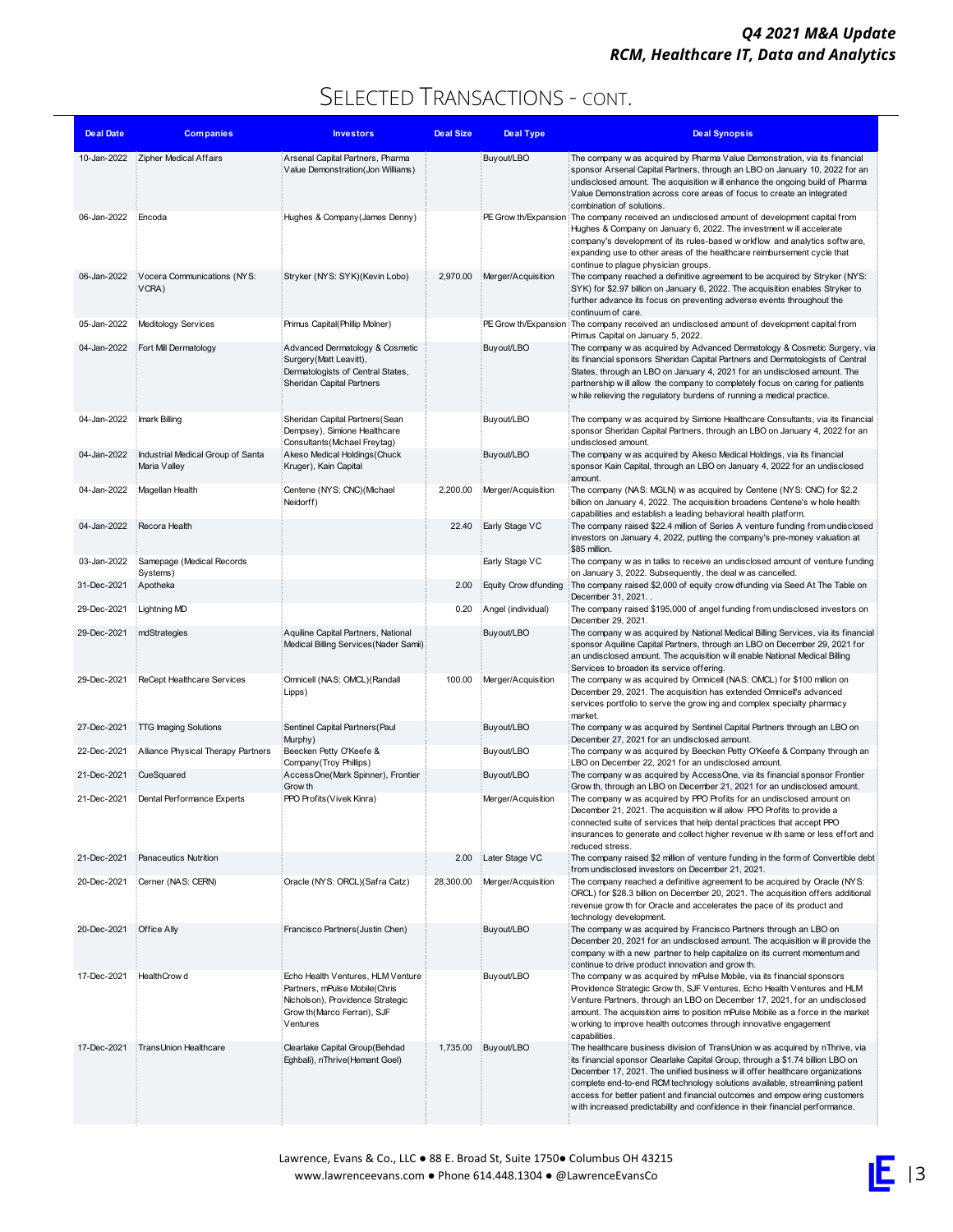| Deal Date   | <b>Companies</b>                                  | <b>Investors</b>                                                                                                                                   | Deal Size | <b>Deal Type</b>            | <b>Deal Synopsis</b>                                                                                                                                                                                                                                                                                                                                                                                                                                                                        |
|-------------|---------------------------------------------------|----------------------------------------------------------------------------------------------------------------------------------------------------|-----------|-----------------------------|---------------------------------------------------------------------------------------------------------------------------------------------------------------------------------------------------------------------------------------------------------------------------------------------------------------------------------------------------------------------------------------------------------------------------------------------------------------------------------------------|
| 10-Jan-2022 | Zipher Medical Affairs                            | Arsenal Capital Partners, Pharma<br>Value Demonstration(Jon Williams)                                                                              |           | Buyout/LBO                  | The company w as acquired by Pharma Value Demonstration, via its financial<br>sponsor Arsenal Capital Partners, through an LBO on January 10, 2022 for an<br>undisclosed amount. The acquisition will enhance the ongoing build of Pharma<br>Value Demonstration across core areas of focus to create an integrated<br>combination of solutions.                                                                                                                                            |
| 06-Jan-2022 | Encoda                                            | Hughes & Company (James Denny)                                                                                                                     |           |                             | PE Grow th/Expansion The company received an undisclosed amount of development capital from<br>Hughes & Company on January 6, 2022. The investment will accelerate<br>company's development of its rules-based w orkflow and analytics softw are,<br>expanding use to other areas of the healthcare reimbursement cycle that<br>continue to plague physician groups.                                                                                                                        |
| 06-Jan-2022 | Vocera Communications (NYS:<br>VCRA)              | Stryker (NYS: SYK)(Kevin Lobo)                                                                                                                     | 2,970.00  | Merger/Acquisition          | The company reached a definitive agreement to be acquired by Stryker (NYS:<br>SYK) for \$2.97 billion on January 6, 2022. The acquisition enables Stryker to<br>further advance its focus on preventing adverse events throughout the<br>continuum of care.                                                                                                                                                                                                                                 |
| 05-Jan-2022 | Meditology Services                               | Primus Capital(Phillip Molner)                                                                                                                     |           |                             | PE Grow th/Expansion The company received an undisclosed amount of development capital from<br>Primus Capital on January 5, 2022.                                                                                                                                                                                                                                                                                                                                                           |
| 04-Jan-2022 | Fort Mill Dermatology                             | Advanced Dermatology & Cosmetic<br>Surgery (Matt Leavitt),<br>Dermatologists of Central States,<br>Sheridan Capital Partners                       |           | Buyout/LBO                  | The company w as acquired by Advanced Dermatology & Cosmetic Surgery, via<br>its financial sponsors Sheridan Capital Partners and Dermatologists of Central<br>States, through an LBO on January 4, 2021 for an undisclosed amount. The<br>partnership will allow the company to completely focus on caring for patients<br>w hile relieving the regulatory burdens of running a medical practice.                                                                                          |
| 04-Jan-2022 | Imark Billing                                     | Sheridan Capital Partners (Sean<br>Dempsey), Simione Healthcare<br>Consultants (Michael Freytag)                                                   |           | Buyout/LBO                  | The company w as acquired by Simione Healthcare Consultants, via its financial<br>sponsor Sheridan Capital Partners, through an LBO on January 4, 2022 for an<br>undisclosed amount.                                                                                                                                                                                                                                                                                                        |
| 04-Jan-2022 | Industrial Medical Group of Santa<br>Maria Valley | Akeso Medical Holdings (Chuck<br>Kruger), Kain Capital                                                                                             |           | Buyout/LBO                  | The company w as acquired by Akeso Medical Holdings, via its financial<br>sponsor Kain Capital, through an LBO on January 4, 2022 for an undisclosed<br>amount.                                                                                                                                                                                                                                                                                                                             |
| 04-Jan-2022 | Magellan Health                                   | Centene (NYS: CNC)(Michael<br>Neidorff)                                                                                                            | 2,200.00  | Merger/Acquisition          | The company (NAS: MGLN) w as acquired by Centene (NYS: CNC) for \$2.2<br>billion on January 4, 2022. The acquisition broadens Centene's w hole health<br>capabilities and establish a leading behavioral health platform.                                                                                                                                                                                                                                                                   |
| 04-Jan-2022 | Recora Health                                     |                                                                                                                                                    | 22.40     | Early Stage VC              | The company raised \$22.4 million of Series A venture funding from undisclosed<br>investors on January 4, 2022, putting the company's pre-money valuation at<br>\$85 million.                                                                                                                                                                                                                                                                                                               |
| 03-Jan-2022 | Samepage (Medical Records<br>Systems)             |                                                                                                                                                    |           | Early Stage VC              | The company w as in talks to receive an undisclosed amount of venture funding<br>on January 3, 2022. Subsequently, the deal w as cancelled.                                                                                                                                                                                                                                                                                                                                                 |
| 31-Dec-2021 | Apotheka                                          |                                                                                                                                                    | 2.00      | <b>Equity Crow dfunding</b> | The company raised \$2,000 of equity crow dfunding via Seed At The Table on<br>December 31, 2021                                                                                                                                                                                                                                                                                                                                                                                            |
| 29-Dec-2021 | <b>Lightning MD</b>                               |                                                                                                                                                    | 0.20      | Angel (individual)          | The company raised \$195,000 of angel funding from undisclosed investors on                                                                                                                                                                                                                                                                                                                                                                                                                 |
| 29-Dec-2021 | mdStrategies                                      | Aquiline Capital Partners, National<br>Medical Billing Services (Nader Samii)                                                                      |           | Buyout/LBO                  | December 29, 2021.<br>The company w as acquired by National Medical Billing Services, via its financial<br>sponsor Aquiline Capital Partners, through an LBO on December 29, 2021 for<br>an undisclosed amount. The acquisition w ill enable National Medical Billing<br>Services to broaden its service offering.                                                                                                                                                                          |
| 29-Dec-2021 | ReCept Healthcare Services                        | Omnicell (NAS: OMCL) (Randall<br>Lipps)                                                                                                            | 100.00    | Merger/Acquisition          | The company w as acquired by Omnicell (NAS: OMCL) for \$100 million on<br>December 29, 2021. The acquisition has extended Omnicell's advanced<br>services portfolio to serve the grow ing and complex specialty pharmacy<br>market.                                                                                                                                                                                                                                                         |
| 27-Dec-2021 | <b>TTG Imaging Solutions</b>                      | Sentinel Capital Partners (Paul<br>Murphy)                                                                                                         |           | Buyout/LBO                  | The company w as acquired by Sentinel Capital Partners through an LBO on<br>December 27, 2021 for an undisclosed amount.                                                                                                                                                                                                                                                                                                                                                                    |
| 22-Dec-2021 | Alliance Physical Therapy Partners                | Beecken Petty O'Keefe &<br>Company (Troy Phillips)                                                                                                 |           | Buyout/LBO                  | The company w as acquired by Beecken Petty O'Keefe & Company through an<br>LBO on December 22, 2021 for an undisclosed amount.                                                                                                                                                                                                                                                                                                                                                              |
| 21-Dec-2021 | CueSquared                                        | AccessOne(Mark Spinner), Frontier<br>Grow th                                                                                                       |           | Buyout/LBO                  | The company w as acquired by AccessOne, via its financial sponsor Frontier<br>Grow th, through an LBO on December 21, 2021 for an undisclosed amount.                                                                                                                                                                                                                                                                                                                                       |
| 21-Dec-2021 | Dental Performance Experts                        | PPO Profits (Vivek Kinra)                                                                                                                          |           | Merger/Acquisition          | The company w as acquired by PPO Profits for an undisclosed amount on<br>December 21, 2021. The acquisition will allow PPO Profits to provide a<br>connected suite of services that help dental practices that accept PPO<br>insurances to generate and collect higher revenue with same or less effort and<br>reduced stress.                                                                                                                                                              |
| 21-Dec-2021 | Panaceutics Nutrition                             |                                                                                                                                                    | 2.00      | Later Stage VC              | The company raised \$2 million of venture funding in the form of Convertible debt<br>from undisclosed investors on December 21, 2021.                                                                                                                                                                                                                                                                                                                                                       |
| 20-Dec-2021 | Cerner (NAS: CERN)                                | Oracle (NYS: ORCL)(Safra Catz)                                                                                                                     | 28,300.00 | Merger/Acquisition          | The company reached a definitive agreement to be acquired by Oracle (NYS:<br>ORCL) for \$28.3 billion on December 20, 2021. The acquisition offers additional<br>revenue grow th for Oracle and accelerates the pace of its product and<br>technology development.                                                                                                                                                                                                                          |
| 20-Dec-2021 | <b>Office Ally</b>                                | Francisco Partners (Justin Chen)                                                                                                                   |           | Buyout/LBO                  | The company w as acquired by Francisco Partners through an LBO on<br>December 20, 2021 for an undisclosed amount. The acquisition will provide the<br>company with a new partner to help capitalize on its current momentum and<br>continue to drive product innovation and grow th.                                                                                                                                                                                                        |
| 17-Dec-2021 | HealthCrow d                                      | Echo Health Ventures, HLM Venture<br>Partners, mPulse Mobile(Chris<br>Nicholson), Providence Strategic<br>Grow th (Marco Ferrari), SJF<br>Ventures |           | Buyout/LBO                  | The company w as acquired by mPulse Mobile, via its financial sponsors<br>Providence Strategic Grow th, SJF Ventures, Echo Health Ventures and HLM<br>Venture Partners, through an LBO on December 17, 2021, for an undisclosed<br>amount. The acquisition aims to position mPulse Mobile as a force in the market<br>w orking to improve health outcomes through innovative engagement<br>capabilities.                                                                                    |
| 17-Dec-2021 | Trans Union Healthcare                            | Clearlake Capital Group(Behdad<br>Eghbali), nThrive(Hemant Goel)                                                                                   |           | 1,735.00 Buyout/LBO         | The healthcare business division of TransUnion w as acquired by nThrive, via<br>its financial sponsor Clearlake Capital Group, through a \$1.74 billion LBO on<br>December 17, 2021. The unified business will offer healthcare organizations<br>complete end-to-end RCM technology solutions available, streamlining patient<br>access for better patient and financial outcomes and empow ering customers<br>with increased predictability and confidence in their financial performance. |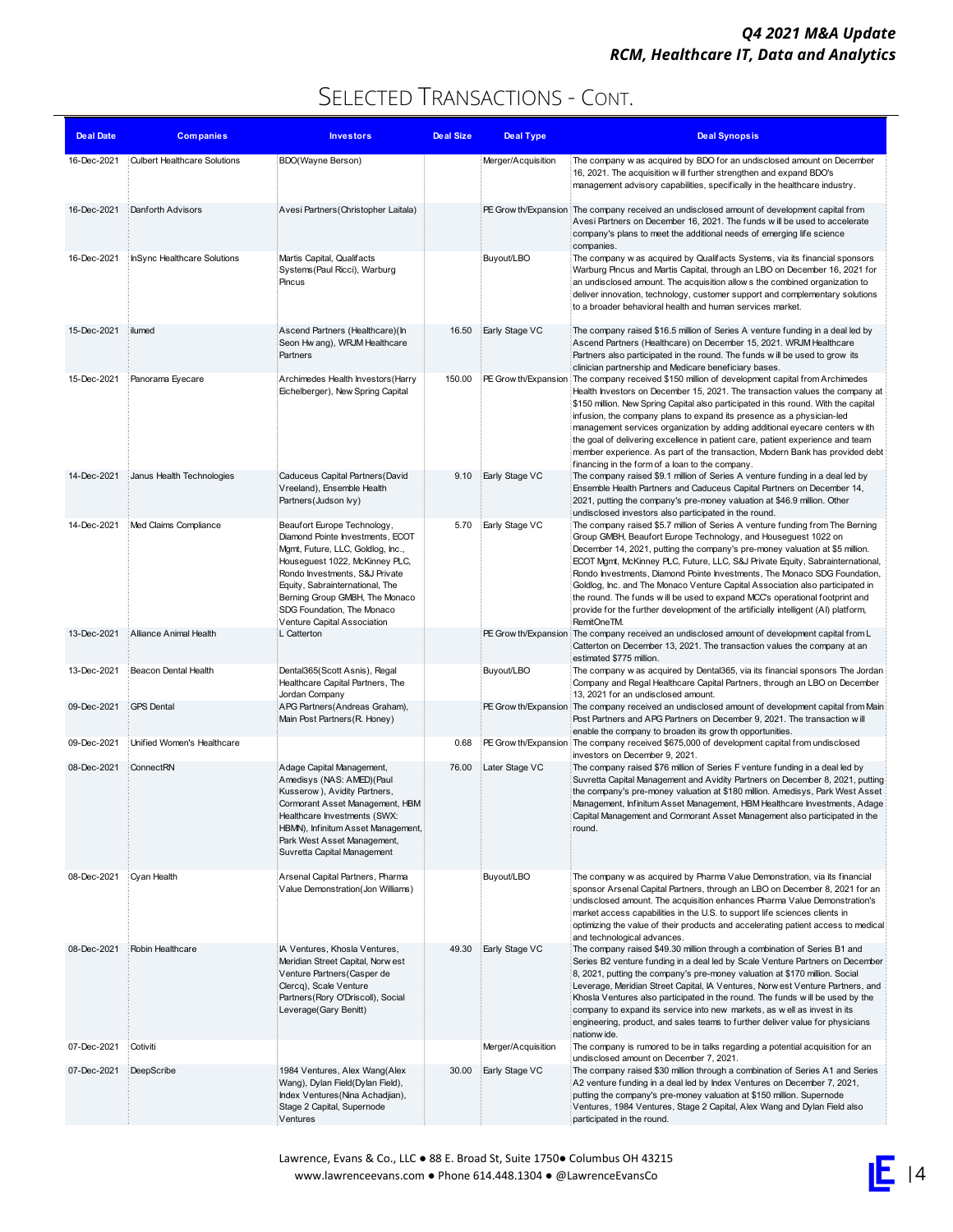| <b>Deal Date</b> | <b>Companies</b>                    | <b>Investors</b>                                                                                                                                                                                                                                                                                           | <b>Deal Size</b> | <b>Deal Type</b>   | <b>Deal Synopsis</b>                                                                                                                                                                                                                                                                                                                                                                                                                                                                                                                                                                                                                                                |
|------------------|-------------------------------------|------------------------------------------------------------------------------------------------------------------------------------------------------------------------------------------------------------------------------------------------------------------------------------------------------------|------------------|--------------------|---------------------------------------------------------------------------------------------------------------------------------------------------------------------------------------------------------------------------------------------------------------------------------------------------------------------------------------------------------------------------------------------------------------------------------------------------------------------------------------------------------------------------------------------------------------------------------------------------------------------------------------------------------------------|
| 16-Dec-2021      | <b>Culbert Healthcare Solutions</b> | BDO(Wayne Berson)                                                                                                                                                                                                                                                                                          |                  | Merger/Acquisition | The company w as acquired by BDO for an undisclosed amount on December<br>16, 2021. The acquisition w ill further strengthen and expand BDO's<br>management advisory capabilities, specifically in the healthcare industry.                                                                                                                                                                                                                                                                                                                                                                                                                                         |
| 16-Dec-2021      | Danforth Advisors                   | Avesi Partners (Christopher Laitala)                                                                                                                                                                                                                                                                       |                  |                    | PE Grow th/Expansion ∏he company received an undisclosed amount of development capital from<br>Avesi Partners on December 16, 2021. The funds will be used to accelerate<br>company's plans to meet the additional needs of emerging life science<br>companies.                                                                                                                                                                                                                                                                                                                                                                                                     |
| 16-Dec-2021      | InSync Healthcare Solutions         | Martis Capital, Qualifacts<br>Systems (Paul Ricci), Warburg<br>Pincus                                                                                                                                                                                                                                      |                  | Buyout/LBO         | The company w as acquired by Qualifacts Systems, via its financial sponsors<br>Warburg Pincus and Martis Capital, through an LBO on December 16, 2021 for<br>an undisclosed amount. The acquisition allow s the combined organization to<br>deliver innovation, technology, customer support and complementary solutions<br>to a broader behavioral health and human services market.                                                                                                                                                                                                                                                                               |
| 15-Dec-2021      | ilumed                              | Ascend Partners (Healthcare)(In<br>Seon Hw ang), WRJM Healthcare<br>Partners                                                                                                                                                                                                                               | 16.50            | Early Stage VC     | The company raised \$16.5 million of Series A venture funding in a deal led by<br>Ascend Partners (Healthcare) on December 15, 2021. WRJM Healthcare<br>Partners also participated in the round. The funds will be used to grow its<br>clinician partnership and Medicare beneficiary bases.                                                                                                                                                                                                                                                                                                                                                                        |
| 15-Dec-2021      | Panorama Eyecare                    | Archimedes Health Investors (Harry<br>Eichelberger), New Spring Capital                                                                                                                                                                                                                                    | 150.00           |                    | PE Grow th/Expansion The company received \$150 million of development capital from Archimedes<br>Health Investors on December 15, 2021. The transaction values the company at<br>\$150 million. New Spring Capital also participated in this round. With the capital<br>infusion, the company plans to expand its presence as a physician-led<br>management services organization by adding additional eyecare centers with<br>the goal of delivering excellence in patient care, patient experience and team<br>member experience. As part of the transaction, Modern Bank has provided debt<br>financing in the form of a loan to the company.                   |
| 14-Dec-2021      | Janus Health Technologies           | Caduceus Capital Partners (David<br>Vreeland), Ensemble Health<br>Partners (Judson Ivy)                                                                                                                                                                                                                    | 9.10             | Early Stage VC     | The company raised \$9.1 million of Series A venture funding in a deal led by<br>Ensemble Health Partners and Caduceus Capital Partners on December 14,<br>2021, putting the company's pre-money valuation at \$46.9 million. Other<br>undisclosed investors also participated in the round.                                                                                                                                                                                                                                                                                                                                                                        |
| 14-Dec-2021      | Med Claims Compliance               | Beaufort Europe Technology,<br>Diamond Pointe Investments, ECOT<br>Mgmt, Future, LLC, Goldlog, Inc.,<br>Houseguest 1022, McKinney PLC,<br>Rondo Investments, S&J Private<br>Equity, Sabrainternational, The<br>Berning Group GMBH, The Monaco<br>SDG Foundation, The Monaco<br>Venture Capital Association | 5.70             | Early Stage VC     | The company raised \$5.7 million of Series A venture funding from The Berning<br>Group GMBH, Beaufort Europe Technology, and Houseguest 1022 on<br>December 14, 2021, putting the company's pre-money valuation at \$5 million.<br>ECOT Mgmt, McKinney PLC, Future, LLC, S&J Private Equity, Sabrainternational,<br>Rondo Investments, Diamond Pointe Investments, The Monaco SDG Foundation,<br>Goldlog, Inc. and The Monaco Venture Capital Association also participated in<br>the round. The funds w ill be used to expand MCC's operational footprint and<br>provide for the further development of the artificially intelligent (AI) platform,<br>RemitOneTM. |
| 13-Dec-2021      | Alliance Animal Health              | L Catterton                                                                                                                                                                                                                                                                                                |                  |                    | PE Grow th/Expansion The company received an undisclosed amount of development capital from L<br>Catterton on December 13, 2021. The transaction values the company at an<br>estimated \$775 million.                                                                                                                                                                                                                                                                                                                                                                                                                                                               |
| 13-Dec-2021      | Beacon Dental Health                | Dental365(Scott Asnis), Regal<br>Healthcare Capital Partners, The<br>Jordan Company                                                                                                                                                                                                                        |                  | Buyout/LBO         | The company w as acquired by Dental365, via its financial sponsors The Jordan<br>Company and Regal Healthcare Capital Partners, through an LBO on December<br>13, 2021 for an undisclosed amount.                                                                                                                                                                                                                                                                                                                                                                                                                                                                   |
| 09-Dec-2021      | <b>GPS</b> Dental                   | APG Partners (Andreas Graham),<br>Main Post Partners (R. Honey)                                                                                                                                                                                                                                            |                  |                    | PE Grow th/Expansion ∏he company received an undisclosed amount of development capital from Main:<br>Post Partners and APG Partners on December 9, 2021. The transaction will<br>enable the company to broaden its grow th opportunities.                                                                                                                                                                                                                                                                                                                                                                                                                           |
| 09-Dec-2021      | Unified Women's Healthcare          |                                                                                                                                                                                                                                                                                                            | 0.68             |                    | PE Grow th/Expansion The company received \$675,000 of development capital from undisclosed<br>investors on December 9, 2021.                                                                                                                                                                                                                                                                                                                                                                                                                                                                                                                                       |
| 08-Dec-2021      | ConnectRN                           | Adage Capital Management,<br>Amedisys (NAS: AMED)(Paul<br>Kusserow), Avidity Partners,<br>Cormorant Asset Management, HBM<br>Healthcare Investments (SWX:<br>HBMN), Infinitum Asset Management,<br>Park West Asset Management,<br>Suvretta Capital Management                                              | 76.00            | Later Stage VC     | The company raised \$76 million of Series F venture funding in a deal led by<br>Suvretta Capital Management and Avidity Partners on December 8, 2021, putting<br>the company's pre-money valuation at \$180 million. Amedisys, Park West Asset<br>Management, Infinitum Asset Management, HBM Healthcare Investments, Adage<br>Capital Management and Cormorant Asset Management also participated in the<br>round.                                                                                                                                                                                                                                                 |
| 08-Dec-2021      | Cyan Health                         | Arsenal Capital Partners, Pharma<br>Value Demonstration(Jon Williams)                                                                                                                                                                                                                                      |                  | Buyout/LBO         | The company w as acquired by Pharma Value Demonstration, via its financial<br>sponsor Arsenal Capital Partners, through an LBO on December 8, 2021 for an<br>undisclosed amount. The acquisition enhances Pharma Value Demonstration's<br>market access capabilities in the U.S. to support life sciences clients in<br>optimizing the value of their products and accelerating patient access to medical<br>and technological advances.                                                                                                                                                                                                                            |
| 08-Dec-2021      | Robin Healthcare                    | IA Ventures, Khosla Ventures,<br>Meridian Street Capital, Norw est<br>Venture Partners (Casper de<br>Clercq), Scale Venture<br>Partners (Rory O'Driscoll), Social<br>Leverage(Gary Benitt)                                                                                                                 | 49.30            | Early Stage VC     | The company raised \$49.30 million through a combination of Series B1 and<br>Series B2 venture funding in a deal led by Scale Venture Partners on December<br>8, 2021, putting the company's pre-money valuation at \$170 million. Social<br>Leverage, Meridian Street Capital, IA Ventures, Norw est Venture Partners, and<br>Khosla Ventures also participated in the round. The funds will be used by the<br>company to expand its service into new markets, as well as invest in its<br>engineering, product, and sales teams to further deliver value for physicians<br>nationw ide.                                                                           |
| 07-Dec-2021      | Cotiviti                            |                                                                                                                                                                                                                                                                                                            |                  | Merger/Acquisition | The company is rumored to be in talks regarding a potential acquisition for an<br>undisclosed amount on December 7, 2021.                                                                                                                                                                                                                                                                                                                                                                                                                                                                                                                                           |
| 07-Dec-2021      | DeepScribe                          | 1984 Ventures, Alex Wang(Alex<br>Wang), Dylan Field(Dylan Field),<br>Index Ventures (Nina Achadjian),<br>Stage 2 Capital, Supernode<br>Ventures                                                                                                                                                            | 30.00            | Early Stage VC     | The company raised \$30 million through a combination of Series A1 and Series<br>A2 venture funding in a deal led by Index Ventures on December 7, 2021,<br>putting the company's pre-money valuation at \$150 million. Supernode<br>Ventures, 1984 Ventures, Stage 2 Capital, Alex Wang and Dylan Field also<br>participated in the round.                                                                                                                                                                                                                                                                                                                         |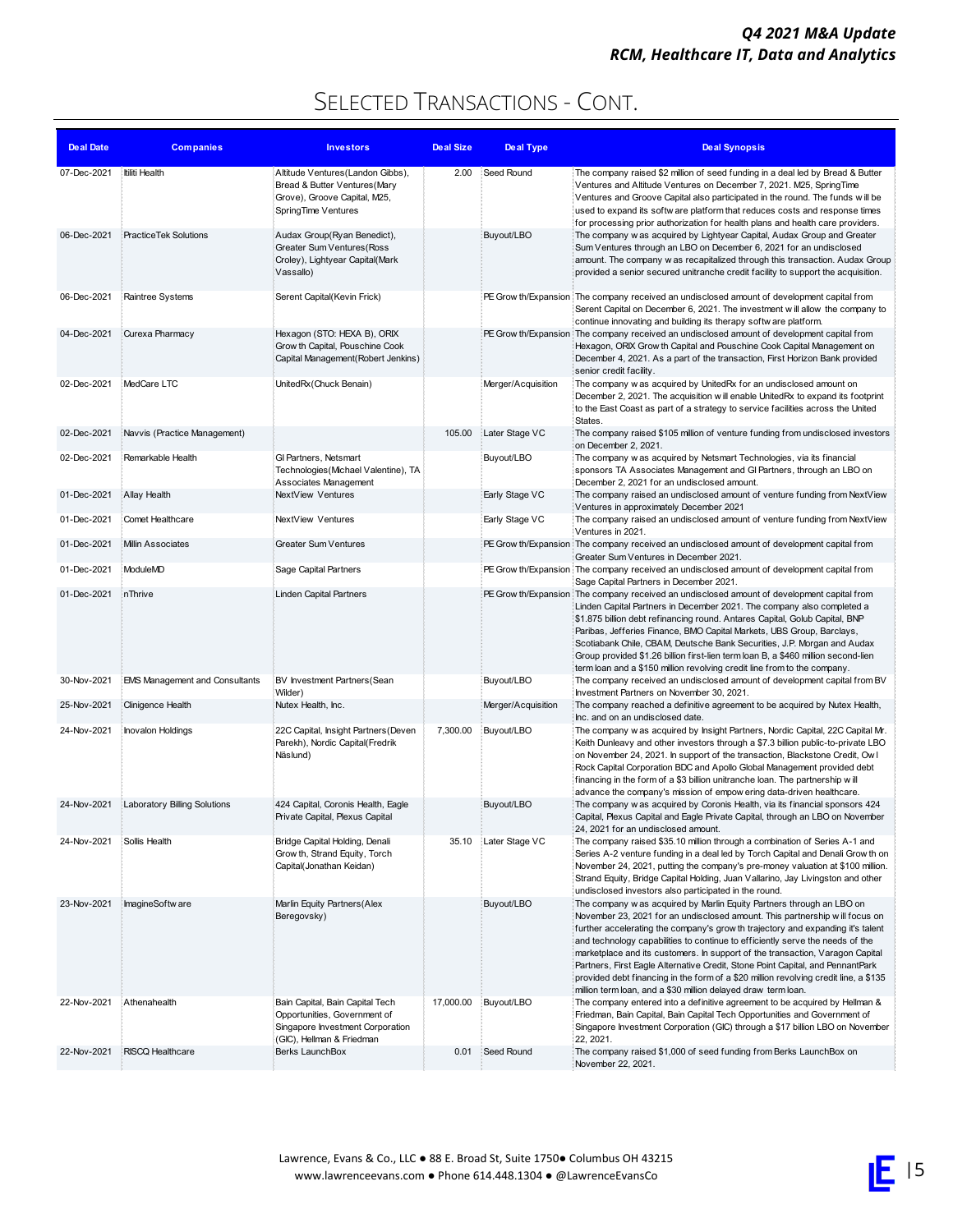| <b>Deal Date</b> | <b>Companies</b>                      | <b>Investors</b>                                                                                                                 | <b>Deal Size</b> | <b>Deal Type</b>   | <b>Deal Synopsis</b>                                                                                                                                                                                                                                                                                                                                                                                                                                                                                                                                                                                                                                 |
|------------------|---------------------------------------|----------------------------------------------------------------------------------------------------------------------------------|------------------|--------------------|------------------------------------------------------------------------------------------------------------------------------------------------------------------------------------------------------------------------------------------------------------------------------------------------------------------------------------------------------------------------------------------------------------------------------------------------------------------------------------------------------------------------------------------------------------------------------------------------------------------------------------------------------|
| 07-Dec-2021      | Itiliti Health                        | Altitude Ventures (Landon Gibbs),<br>Bread & Butter Ventures (Mary<br>Grove), Groove Capital, M25,<br>SpringTime Ventures        | 2.00             | Seed Round         | The company raised \$2 million of seed funding in a deal led by Bread & Butter<br>Ventures and Altitude Ventures on December 7, 2021. M25, SpringTime<br>Ventures and Groove Capital also participated in the round. The funds will be<br>used to expand its softw are platform that reduces costs and response times<br>for processing prior authorization for health plans and health care providers.                                                                                                                                                                                                                                              |
| 06-Dec-2021      | PracticeTek Solutions                 | Audax Group(Ryan Benedict),<br>Greater Sum Ventures (Ross<br>Croley), Lightyear Capital(Mark<br>Vassallo)                        |                  | Buyout/LBO         | The company w as acquired by Lightyear Capital, Audax Group and Greater<br>Sum Ventures through an LBO on December 6, 2021 for an undisclosed<br>amount. The company w as recapitalized through this transaction. Audax Group<br>provided a senior secured unitranche credit facility to support the acquisition.                                                                                                                                                                                                                                                                                                                                    |
| 06-Dec-2021      | Raintree Systems                      | Serent Capital(Kevin Frick)                                                                                                      |                  |                    | PE Grow th/Expansion The company received an undisclosed amount of development capital from<br>Serent Capital on December 6, 2021. The investment will allow the company to<br>continue innovating and building its therapy softw are platform.                                                                                                                                                                                                                                                                                                                                                                                                      |
| 04-Dec-2021      | Curexa Pharmacy                       | Hexagon (STO: HEXA B), ORIX<br>Grow th Capital, Pouschine Cook<br>Capital Management(Robert Jenkins)                             |                  |                    | PE Grow th/Expansion The company received an undisclosed amount of development capital from<br>Hexagon, ORIX Grow th Capital and Pouschine Cook Capital Management on<br>December 4, 2021. As a part of the transaction, First Horizon Bank provided<br>senior credit facility.                                                                                                                                                                                                                                                                                                                                                                      |
| 02-Dec-2021      | MedCare LTC                           | UnitedRx (Chuck Benain)                                                                                                          |                  | Merger/Acquisition | The company w as acquired by UnitedRx for an undisclosed amount on<br>December 2, 2021. The acquisition w ill enable UnitedRx to expand its footprint<br>to the East Coast as part of a strategy to service facilities across the United<br>States.                                                                                                                                                                                                                                                                                                                                                                                                  |
| 02-Dec-2021      | Navvis (Practice Management)          |                                                                                                                                  | 105.00           | Later Stage VC     | The company raised \$105 million of venture funding from undisclosed investors<br>on December 2, 2021.                                                                                                                                                                                                                                                                                                                                                                                                                                                                                                                                               |
| 02-Dec-2021      | Remarkable Health                     | GI Partners, Netsmart<br>Technologies (Michael Valentine), TA<br>Associates Management                                           |                  | Buyout/LBO         | The company w as acquired by Netsmart Technologies, via its financial<br>sponsors TA Associates Management and GI Partners, through an LBO on<br>December 2, 2021 for an undisclosed amount.                                                                                                                                                                                                                                                                                                                                                                                                                                                         |
| 01-Dec-2021      | Allay Health                          | NextView Ventures                                                                                                                |                  | Early Stage VC     | The company raised an undisclosed amount of venture funding from NextView<br>Ventures in approximately December 2021                                                                                                                                                                                                                                                                                                                                                                                                                                                                                                                                 |
| 01-Dec-2021      | Comet Healthcare                      | NextView Ventures                                                                                                                |                  | Early Stage VC     | The company raised an undisclosed amount of venture funding from NextView<br>Ventures in 2021.                                                                                                                                                                                                                                                                                                                                                                                                                                                                                                                                                       |
| 01-Dec-2021      | <b>Millin Associates</b>              | <b>Greater Sum Ventures</b>                                                                                                      |                  |                    | PE Grow th/Expansion The company received an undisclosed amount of development capital from<br>Greater Sum Ventures in December 2021.                                                                                                                                                                                                                                                                                                                                                                                                                                                                                                                |
| 01-Dec-2021      | ModuleMD                              | Sage Capital Partners                                                                                                            |                  |                    | PE Grow th/Expansion The company received an undisclosed amount of development capital from<br>Sage Capital Partners in December 2021.                                                                                                                                                                                                                                                                                                                                                                                                                                                                                                               |
| 01-Dec-2021      | <b>inThrive</b>                       | Linden Capital Partners                                                                                                          |                  |                    | PE Grow th/Expansion The company received an undisclosed amount of development capital from<br>Linden Capital Partners in December 2021. The company also completed a<br>\$1.875 billion debt refinancing round. Antares Capital, Golub Capital, BNP<br>Paribas, Jefferies Finance, BMO Capital Markets, UBS Group, Barclays,<br>Scotiabank Chile, CBAM, Deutsche Bank Securities, J.P. Morgan and Audax<br>Group provided \$1.26 billion first-lien term loan B, a \$460 million second-lien<br>term loan and a \$150 million revolving credit line from to the company.                                                                            |
| 30-Nov-2021      | <b>EMS Management and Consultants</b> | BV Investment Partners (Sean<br>Wilder)                                                                                          |                  | Buyout/LBO         | The company received an undisclosed amount of development capital from BV<br>Investment Partners on November 30, 2021.                                                                                                                                                                                                                                                                                                                                                                                                                                                                                                                               |
| 25-Nov-2021      | Clinigence Health                     | Nutex Health, Inc.                                                                                                               |                  | Merger/Acquisition | The company reached a definitive agreement to be acquired by Nutex Health,<br>Inc. and on an undisclosed date.                                                                                                                                                                                                                                                                                                                                                                                                                                                                                                                                       |
| 24-Nov-2021      | Inovalon Holdings                     | 22C Capital, Insight Partners (Deven<br>Parekh), Nordic Capital(Fredrik<br>Näslund)                                              | 7,300.00         | Buyout/LBO         | The company w as acquired by Insight Partners, Nordic Capital, 22C Capital Mr.<br>Keith Dunleavy and other investors through a \$7.3 billion public-to-private LBO<br>on November 24, 2021. In support of the transaction, Blackstone Credit, Ow I<br>Rock Capital Corporation BDC and Apollo Global Management provided debt<br>financing in the form of a \$3 billion unitranche loan. The partnership will<br>advance the company's mission of empow ering data-driven healthcare.                                                                                                                                                                |
| 24-Nov-2021      | <b>Laboratory Billing Solutions</b>   | 424 Capital, Coronis Health, Eagle<br>Private Capital, Plexus Capital                                                            |                  | Buyout/LBO         | The company w as acquired by Coronis Health, via its financial sponsors 424<br>Capital, Plexus Capital and Eagle Private Capital, through an LBO on November<br>24, 2021 for an undisclosed amount.                                                                                                                                                                                                                                                                                                                                                                                                                                                  |
| 24-Nov-2021      | Sollis Health                         | Bridge Capital Holding, Denali<br>Grow th, Strand Equity, Torch<br>Capital(Jonathan Keidan)                                      | 35.10            | Later Stage VC     | The company raised \$35.10 million through a combination of Series A-1 and<br>Series A-2 venture funding in a deal led by Torch Capital and Denali Grow th on<br>November 24, 2021, putting the company's pre-money valuation at \$100 million.<br>Strand Equity, Bridge Capital Holding, Juan Vallarino, Jay Livingston and other<br>undisclosed investors also participated in the round.                                                                                                                                                                                                                                                          |
| 23-Nov-2021      | ImagineSoftw are                      | Marlin Equity Partners (Alex<br>Beregovsky)                                                                                      |                  | Buyout/LBO         | The company w as acquired by Marlin Equity Partners through an LBO on<br>November 23, 2021 for an undisclosed amount. This partnership will focus on<br>further accelerating the company's grow th trajectory and expanding it's talent<br>and technology capabilities to continue to efficiently serve the needs of the<br>marketplace and its customers. In support of the transaction, Varagon Capital<br>Partners, First Eagle Alternative Credit, Stone Point Capital, and PennantPark<br>provided debt financing in the form of a \$20 million revolving credit line, a \$135<br>million term loan, and a \$30 million delayed draw term loan. |
| 22-Nov-2021      | Athenahealth                          | Bain Capital, Bain Capital Tech<br>Opportunities, Government of<br>Singapore Investment Corporation<br>(GIC), Hellman & Friedman | 17,000.00        | Buyout/LBO         | The company entered into a definitive agreement to be acquired by Hellman &<br>Friedman, Bain Capital, Bain Capital Tech Opportunities and Government of<br>Singapore Investment Corporation (GIC) through a \$17 billion LBO on November<br>22, 2021.                                                                                                                                                                                                                                                                                                                                                                                               |
| 22-Nov-2021      | RISCQ Healthcare                      | Berks LaunchBox                                                                                                                  | 0.01             | Seed Round         | The company raised \$1,000 of seed funding from Berks LaunchBox on<br>November 22, 2021.                                                                                                                                                                                                                                                                                                                                                                                                                                                                                                                                                             |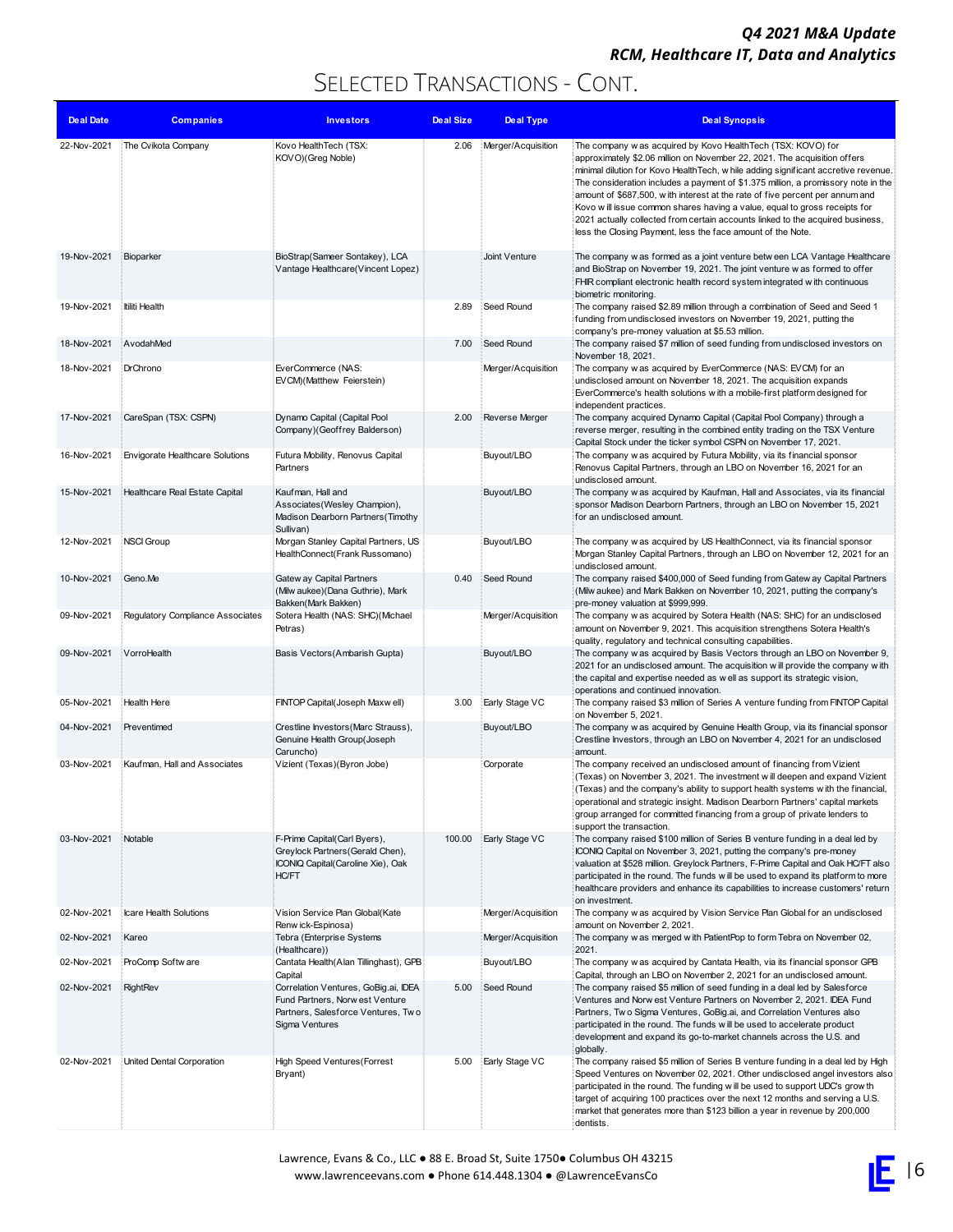| <b>Deal Date</b> | <b>Companies</b>                 | <b>Investors</b>                                                                                                                | <b>Deal Size</b> | <b>Deal Type</b>   | <b>Deal Synopsis</b>                                                                                                                                                                                                                                                                                                                                                                                                                                                                                                                                                                                                                |
|------------------|----------------------------------|---------------------------------------------------------------------------------------------------------------------------------|------------------|--------------------|-------------------------------------------------------------------------------------------------------------------------------------------------------------------------------------------------------------------------------------------------------------------------------------------------------------------------------------------------------------------------------------------------------------------------------------------------------------------------------------------------------------------------------------------------------------------------------------------------------------------------------------|
| 22-Nov-2021      | The Cvikota Company              | Kovo HealthTech (TSX:<br>KOVO)(Greg Noble)                                                                                      | 2.06             | Merger/Acquisition | The company w as acquired by Kovo HealthTech (TSX: KOVO) for<br>approximately \$2.06 million on November 22, 2021. The acquisition offers<br>minimal dilution for Kovo Health Tech, w hile adding significant accretive revenue.<br>The consideration includes a payment of \$1.375 million, a promissory note in the<br>amount of \$687,500, with interest at the rate of five percent per annum and<br>Kovo will issue common shares having a value, equal to gross receipts for<br>2021 actually collected from certain accounts linked to the acquired business,<br>less the Closing Payment, less the face amount of the Note. |
| 19-Nov-2021      | Bioparker                        | BioStrap(Sameer Sontakey), LCA<br>Vantage Healthcare(Vincent Lopez)                                                             |                  | Joint Venture      | The company w as formed as a joint venture between LCA Vantage Healthcare<br>and BioStrap on November 19, 2021. The joint venture w as formed to offer<br>FHIR compliant electronic health record system integrated with continuous<br>biometric monitoring.                                                                                                                                                                                                                                                                                                                                                                        |
| 19-Nov-2021      | Itiliti Health                   |                                                                                                                                 | 2.89             | Seed Round         | The company raised \$2.89 million through a combination of Seed and Seed 1<br>funding from undisclosed investors on November 19, 2021, putting the<br>company's pre-money valuation at \$5.53 million.                                                                                                                                                                                                                                                                                                                                                                                                                              |
| 18-Nov-2021      | AvodahMed                        |                                                                                                                                 | 7.00             | Seed Round         | The company raised \$7 million of seed funding from undisclosed investors on<br>November 18, 2021.                                                                                                                                                                                                                                                                                                                                                                                                                                                                                                                                  |
| 18-Nov-2021      | DrChrono                         | EverCommerce (NAS:<br>EVCM)(Matthew Feierstein)                                                                                 |                  | Merger/Acquisition | The company w as acquired by EverCommerce (NAS: EVCM) for an<br>undisclosed amount on November 18, 2021. The acquisition expands<br>EverCommerce's health solutions with a mobile-first platform designed for<br>independent practices.                                                                                                                                                                                                                                                                                                                                                                                             |
| 17-Nov-2021      | CareSpan (TSX: CSPN)             | Dynamo Capital (Capital Pool<br>Company)(Geoffrey Balderson)                                                                    | 2.00             | Reverse Merger     | The company acquired Dynamo Capital (Capital Pool Company) through a<br>reverse merger, resulting in the combined entity trading on the TSX Venture<br>Capital Stock under the ticker symbol CSPN on November 17, 2021.                                                                                                                                                                                                                                                                                                                                                                                                             |
| 16-Nov-2021      | Envigorate Healthcare Solutions  | Futura Mobility, Renovus Capital<br>Partners                                                                                    |                  | Buyout/LBO         | The company w as acquired by Futura Mobility, via its financial sponsor<br>Renovus Capital Partners, through an LBO on November 16, 2021 for an<br>undisclosed amount.                                                                                                                                                                                                                                                                                                                                                                                                                                                              |
| 15-Nov-2021      | Healthcare Real Estate Capital   | Kaufman, Hall and<br>Associates (Wesley Champion),<br>Madison Dearborn Partners (Timothy<br>Sullivan)                           |                  | Buyout/LBO         | The company w as acquired by Kaufman, Hall and Associates, via its financial<br>sponsor Madison Dearborn Partners, through an LBO on November 15, 2021<br>for an undisclosed amount.                                                                                                                                                                                                                                                                                                                                                                                                                                                |
| 12-Nov-2021      | <b>NSCI Group</b>                | Morgan Stanley Capital Partners, US<br>HealthConnect(Frank Russomano)                                                           |                  | Buyout/LBO         | The company w as acquired by US HealthConnect, via its financial sponsor<br>Morgan Stanley Capital Partners, through an LBO on November 12, 2021 for an<br>undisclosed amount.                                                                                                                                                                                                                                                                                                                                                                                                                                                      |
| 10-Nov-2021      | Geno.Me                          | Gatew ay Capital Partners<br>(Milw aukee) (Dana Guthrie), Mark<br>Bakken(Mark Bakken)                                           | 0.40             | Seed Round         | The company raised \$400,000 of Seed funding from Gatew ay Capital Partners<br>(Milw aukee) and Mark Bakken on November 10, 2021, putting the company's<br>pre-money valuation at \$999,999.                                                                                                                                                                                                                                                                                                                                                                                                                                        |
| 09-Nov-2021      | Regulatory Compliance Associates | Sotera Health (NAS: SHC)(Michael<br>Petras)                                                                                     |                  | Merger/Acquisition | The company w as acquired by Sotera Health (NAS: SHC) for an undisclosed<br>amount on November 9, 2021. This acquisition strengthens Sotera Health's<br>quality, regulatory and technical consulting capabilities.                                                                                                                                                                                                                                                                                                                                                                                                                  |
| 09-Nov-2021      | VorroHealth                      | Basis Vectors(Ambarish Gupta)                                                                                                   |                  | Buyout/LBO         | The company w as acquired by Basis Vectors through an LBO on November 9,<br>2021 for an undisclosed amount. The acquisition will provide the company with<br>the capital and expertise needed as well as support its strategic vision,<br>operations and continued innovation.                                                                                                                                                                                                                                                                                                                                                      |
| 05-Nov-2021      | Health Here                      | FINTOP Capital(Joseph Maxw ell)                                                                                                 | 3.00             | Early Stage VC     | The company raised \$3 million of Series A venture funding from FINTOP Capital<br>on November 5, 2021.                                                                                                                                                                                                                                                                                                                                                                                                                                                                                                                              |
| 04-Nov-2021      | Preventimed                      | Crestline Investors (Marc Strauss),<br>Genuine Health Group(Joseph<br>Caruncho)                                                 |                  | Buyout/LBO         | The company w as acquired by Genuine Health Group, via its financial sponsor<br>Crestline Investors, through an LBO on November 4, 2021 for an undisclosed<br>amount.                                                                                                                                                                                                                                                                                                                                                                                                                                                               |
| 03-Nov-2021      | Kaufman, Hall and Associates     | Vizient (Texas)(Byron Jobe)                                                                                                     |                  | Corporate          | The company received an undisclosed amount of financing from Vizient<br>(Texas) on November 3, 2021. The investment will deepen and expand Vizient<br>(Texas) and the company's ability to support health systems with the financial,<br>operational and strategic insight. Madison Dearborn Partners' capital markets<br>group arranged for committed financing from a group of private lenders to<br>support the transaction.                                                                                                                                                                                                     |
| 03-Nov-2021      | Notable                          | F-Prime Capital(Carl Byers),<br>Greylock Partners (Gerald Chen),<br>ICONIQ Capital(Caroline Xie), Oak<br>HC/FT                  | 100.00           | Early Stage VC     | The company raised \$100 million of Series B venture funding in a deal led by<br>ICONIQ Capital on November 3, 2021, putting the company's pre-money<br>valuation at \$528 million. Greylock Partners, F-Prime Capital and Oak HC/FT also<br>participated in the round. The funds will be used to expand its platform to more<br>healthcare providers and enhance its capabilities to increase customers' return<br>on investment.                                                                                                                                                                                                  |
| 02-Nov-2021      | Icare Health Solutions           | Vision Service Plan Global(Kate<br>Renw ick-Espinosa)                                                                           |                  | Merger/Acquisition | The company w as acquired by Vision Service Plan Global for an undisclosed<br>amount on November 2, 2021.                                                                                                                                                                                                                                                                                                                                                                                                                                                                                                                           |
| 02-Nov-2021      | Kareo                            | Tebra (Enterprise Systems<br>(Healthcare))                                                                                      |                  | Merger/Acquisition | The company w as merged with PatientPop to form Tebra on November 02,<br>2021.                                                                                                                                                                                                                                                                                                                                                                                                                                                                                                                                                      |
| 02-Nov-2021      | ProComp Softw are                | Cantata Health (Alan Tillinghast), GPB<br>Capital                                                                               |                  | Buyout/LBO         | The company w as acquired by Cantata Health, via its financial sponsor GPB<br>Capital, through an LBO on November 2, 2021 for an undisclosed amount.                                                                                                                                                                                                                                                                                                                                                                                                                                                                                |
| 02-Nov-2021      | RightRev                         | Correlation Ventures, GoBig.ai, IDEA<br>Fund Partners, Norw est Venture<br>Partners, Salesforce Ventures, Two<br>Sigma Ventures | 5.00             | Seed Round         | The company raised \$5 million of seed funding in a deal led by Salesforce<br>Ventures and Norw est Venture Partners on November 2, 2021. IDEA Fund<br>Partners, Two Sigma Ventures, GoBig.ai, and Correlation Ventures also<br>participated in the round. The funds will be used to accelerate product<br>development and expand its go-to-market channels across the U.S. and<br>globally.                                                                                                                                                                                                                                        |
| 02-Nov-2021      | United Dental Corporation        | <b>High Speed Ventures (Forrest</b><br>Bryant)                                                                                  | 5.00             | Early Stage VC     | The company raised \$5 million of Series B venture funding in a deal led by High<br>Speed Ventures on November 02, 2021. Other undisclosed angel investors also<br>participated in the round. The funding will be used to support UDC's grow th<br>target of acquiring 100 practices over the next 12 months and serving a U.S.<br>market that generates more than \$123 billion a year in revenue by 200,000<br>dentists.                                                                                                                                                                                                          |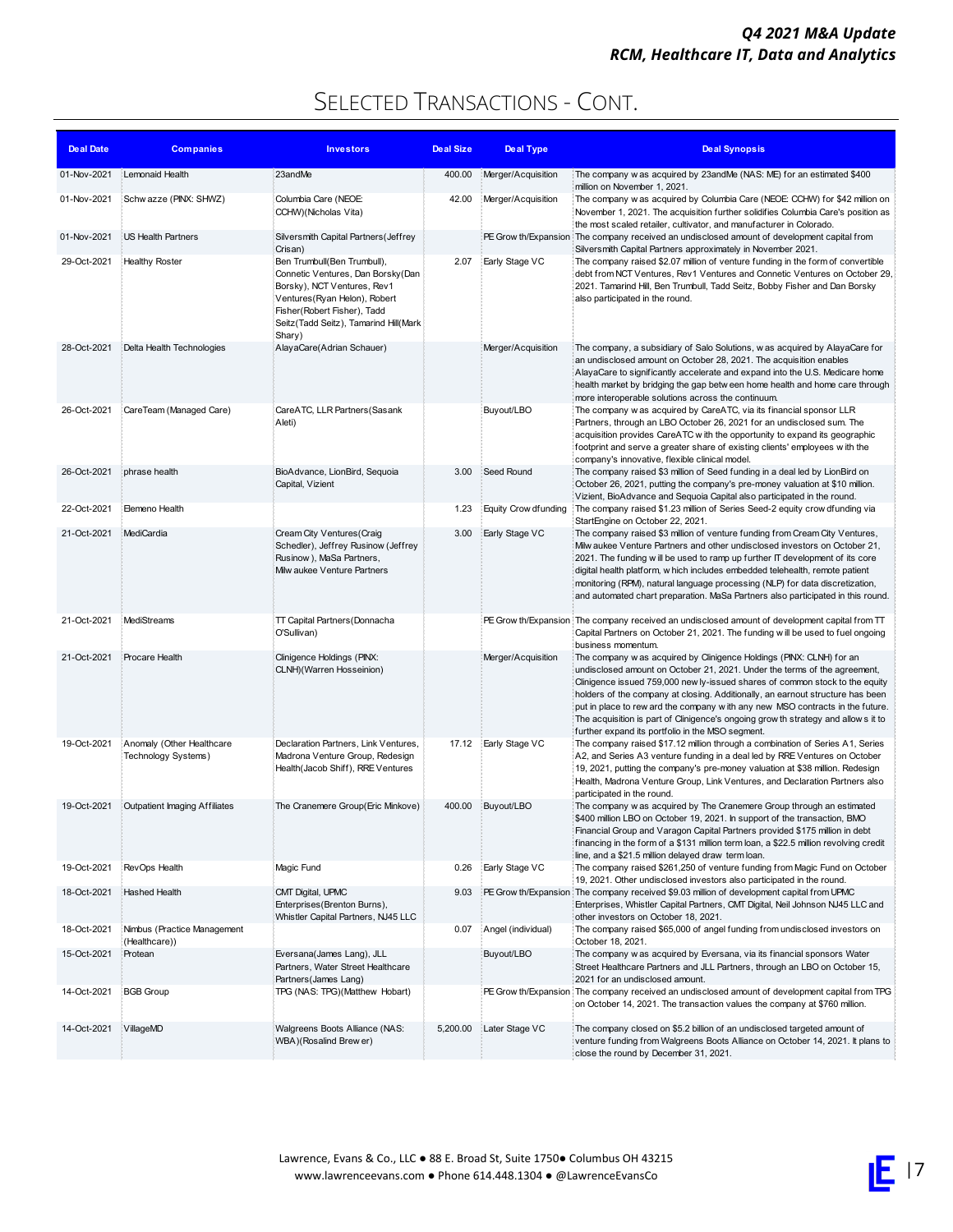| <b>Deal Date</b> | <b>Companies</b>                                 | <b>Investors</b>                                                                                                                                                                                                     | Deal Size | <b>Deal Type</b>      | <b>Deal Synopsis</b>                                                                                                                                                                                                                                                                                                                                                                                                                                                                                                                          |
|------------------|--------------------------------------------------|----------------------------------------------------------------------------------------------------------------------------------------------------------------------------------------------------------------------|-----------|-----------------------|-----------------------------------------------------------------------------------------------------------------------------------------------------------------------------------------------------------------------------------------------------------------------------------------------------------------------------------------------------------------------------------------------------------------------------------------------------------------------------------------------------------------------------------------------|
| 01-Nov-2021      | Lemonaid Health                                  | 23andMe                                                                                                                                                                                                              | 400.00    | Merger/Acquisition    | The company w as acquired by 23andMe (NAS: ME) for an estimated \$400<br>million on November 1, 2021.                                                                                                                                                                                                                                                                                                                                                                                                                                         |
| 01-Nov-2021      | Schw azze (PINX: SHWZ)                           | Columbia Care (NEOE:<br>CCHW)(Nicholas Vita)                                                                                                                                                                         | 42.00     | Merger/Acquisition    | The company w as acquired by Columbia Care (NEOE: CCHW) for \$42 million on<br>November 1, 2021. The acquisition further solidifies Columbia Care's position as<br>the most scaled retailer, cultivator, and manufacturer in Colorado.                                                                                                                                                                                                                                                                                                        |
| 01-Nov-2021      | US Health Partners                               | Silversmith Capital Partners (Jeffrey<br>Crisan)                                                                                                                                                                     |           |                       | PE Grow th/Expansion The company received an undisclosed amount of development capital from<br>Silversmith Capital Partners approximately in November 2021.                                                                                                                                                                                                                                                                                                                                                                                   |
| 29-Oct-2021      | <b>Healthy Roster</b>                            | Ben Trumbull(Ben Trumbull),<br>Connetic Ventures, Dan Borsky (Dan<br>Borsky), NCT Ventures, Rev1<br>Ventures (Ryan Helon), Robert<br>Fisher(Robert Fisher), Tadd<br>Seitz(Tadd Seitz), Tamarind Hill(Mark)<br>Shary) | 2.07      | Early Stage VC        | The company raised \$2.07 million of venture funding in the form of convertible<br>debt from NCT Ventures, Rev1 Ventures and Connetic Ventures on October 29,<br>2021. Tamarind Hill, Ben Trumbull, Tadd Seitz, Bobby Fisher and Dan Borsky<br>also participated in the round.                                                                                                                                                                                                                                                                |
| 28-Oct-2021      | Delta Health Technologies                        | AlayaCare(Adrian Schauer)                                                                                                                                                                                            |           | Merger/Acquisition    | The company, a subsidiary of Salo Solutions, w as acquired by AlayaCare for<br>an undisclosed amount on October 28, 2021. The acquisition enables<br>AlayaCare to significantly accelerate and expand into the U.S. Medicare home<br>health market by bridging the gap between home health and home care through<br>more interoperable solutions across the continuum.                                                                                                                                                                        |
| 26-Oct-2021      | CareTeam (Managed Care)                          | CareATC, LLR Partners (Sasank<br>Aleti)                                                                                                                                                                              |           | Buyout/LBO            | The company w as acquired by CareATC, via its financial sponsor LLR<br>Partners, through an LBO October 26, 2021 for an undisclosed sum. The<br>acquisition provides CareATC with the opportunity to expand its geographic<br>footprint and serve a greater share of existing clients' employees with the<br>company's innovative, flexible clinical model.                                                                                                                                                                                   |
| 26-Oct-2021      | phrase health                                    | BioAdvance, LionBird, Sequoia<br>Capital, Vizient                                                                                                                                                                    | 3.00      | Seed Round            | The company raised \$3 million of Seed funding in a deal led by LionBird on<br>October 26, 2021, putting the company's pre-money valuation at \$10 million.<br>Vizient, BioAdvance and Sequoia Capital also participated in the round.                                                                                                                                                                                                                                                                                                        |
| 22-Oct-2021      | Elemeno Health                                   |                                                                                                                                                                                                                      | 1.23      | Equity Crow dfunding  | The company raised \$1.23 million of Series Seed-2 equity crow dfunding via<br>StartEngine on October 22, 2021.                                                                                                                                                                                                                                                                                                                                                                                                                               |
| 21-Oct-2021      | MediCardia                                       | Cream City Ventures (Craig<br>Schedler), Jeffrey Rusinow (Jeffrey<br>Rusinow), MaSa Partners,<br>Milw aukee Venture Partners                                                                                         | 3.00      | Early Stage VC        | The company raised \$3 million of venture funding from Cream City Ventures,<br>Milw aukee Venture Partners and other undisclosed investors on October 21,<br>2021. The funding will be used to ramp up further IT development of its core<br>digital health platform, w hich includes embedded telehealth, remote patient<br>monitoring (RPM), natural language processing (NLP) for data discretization,<br>and automated chart preparation. MaSa Partners also participated in this round.                                                  |
| 21-Oct-2021      | MediStreams                                      | TT Capital Partners (Donnacha<br>O'Sullivan)                                                                                                                                                                         |           |                       | PE Grow th/Expansion The company received an undisclosed amount of development capital from TT<br>Capital Partners on October 21, 2021. The funding will be used to fuel ongoing<br>business momentum.                                                                                                                                                                                                                                                                                                                                        |
| 21-Oct-2021      | Procare Health                                   | Clinigence Holdings (PINX:<br>CLNH)(Warren Hosseinion)                                                                                                                                                               |           | Merger/Acquisition    | The company w as acquired by Clinigence Holdings (PINX: CLNH) for an<br>undisclosed amount on October 21, 2021. Under the terms of the agreement,<br>Clinigence issued 759,000 new ly-issued shares of common stock to the equity<br>holders of the company at closing. Additionally, an earnout structure has been<br>put in place to rew ard the company with any new MSO contracts in the future.<br>The acquisition is part of Clinigence's ongoing grow th strategy and allows it to<br>further expand its portfolio in the MSO segment. |
| 19-Oct-2021      | Anomaly (Other Healthcare<br>Technology Systems) | Declaration Partners, Link Ventures,<br>Madrona Venture Group, Redesign                                                                                                                                              | 17.12     | Early Stage VC        | The company raised \$17.12 million through a combination of Series A1, Series<br>A2, and Series A3 venture funding in a deal led by RRE Ventures on October                                                                                                                                                                                                                                                                                                                                                                                   |
|                  |                                                  | Health (Jacob Shiff), RRE Ventures                                                                                                                                                                                   |           |                       | 19, 2021, putting the company's pre-money valuation at \$38 million. Redesign<br>Health, Madrona Venture Group, Link Ventures, and Declaration Partners also<br>participated in the round.                                                                                                                                                                                                                                                                                                                                                    |
| 19-Oct-2021      | Outpatient Imaging Affiliates                    | The Cranemere Group(Eric Minkove)                                                                                                                                                                                    | 400.00    | Buyout/LBO            | The company w as acquired by The Cranemere Group through an estimated<br>\$400 million LBO on October 19, 2021. In support of the transaction, BMO<br>Financial Group and Varagon Capital Partners provided \$175 million in debt<br>financing in the form of a \$131 million term loan, a \$22.5 million revolving credit<br>line, and a \$21.5 million delayed draw term loan.                                                                                                                                                              |
| 19-Oct-2021      | RevOps Health                                    | Magic Fund                                                                                                                                                                                                           | 0.26      | <b>Early Stage VC</b> | The company raised \$261,250 of venture funding from Magic Fund on October<br>19, 2021. Other undisclosed investors also participated in the round.                                                                                                                                                                                                                                                                                                                                                                                           |
| 18-Oct-2021      | Hashed Health                                    | CMT Digital, UPMC<br>Enterprises (Brenton Burns),<br>Whistler Capital Partners, NJ45 LLC                                                                                                                             | 9.03      |                       | PE Grow th/Expansion The company received \$9.03 million of development capital from UPMC<br>Enterprises, Whistler Capital Partners, CMT Digital, Neil Johnson NJ45 LLC and<br>other investors on October 18, 2021.                                                                                                                                                                                                                                                                                                                           |
| 18-Oct-2021      | Nimbus (Practice Management<br>(Healthcare))     |                                                                                                                                                                                                                      | 0.07      | Angel (individual)    | The company raised \$65,000 of angel funding from undisclosed investors on<br>October 18, 2021.                                                                                                                                                                                                                                                                                                                                                                                                                                               |
| 15-Oct-2021      | Protean                                          | Eversana(James Lang), JLL<br>Partners, Water Street Healthcare<br>Partners (James Lang)                                                                                                                              |           | Buyout/LBO            | The company w as acquired by Eversana, via its financial sponsors Water<br>Street Healthcare Partners and JLL Partners, through an LBO on October 15,<br>2021 for an undisclosed amount.                                                                                                                                                                                                                                                                                                                                                      |
| 14-Oct-2021      | <b>BGB Group</b>                                 | TPG (NAS: TPG)(Matthew Hobart)                                                                                                                                                                                       |           |                       | PE Grow th/Expansion The company received an undisclosed amount of development capital from TPG<br>on October 14, 2021. The transaction values the company at \$760 million.                                                                                                                                                                                                                                                                                                                                                                  |
| 14-Oct-2021      | VillageMD                                        | Walgreens Boots Alliance (NAS:<br>WBA)(Rosalind Brew er)                                                                                                                                                             | 5,200.00  | Later Stage VC        | The company closed on \$5.2 billion of an undisclosed targeted amount of<br>venture funding from Walgreens Boots Alliance on October 14, 2021. It plans to<br>close the round by December 31, 2021.                                                                                                                                                                                                                                                                                                                                           |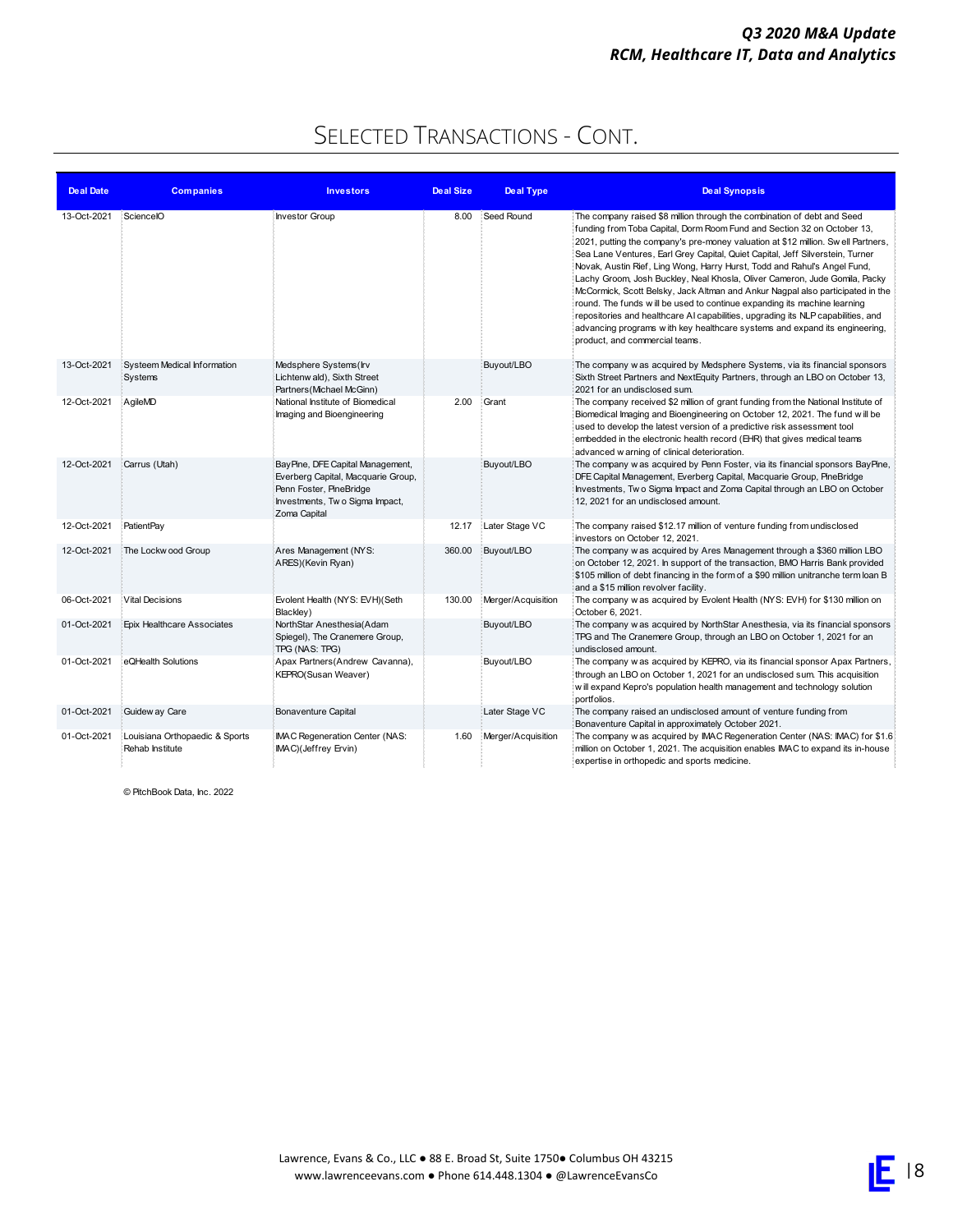### SELECTED TRANSACTIONS - CONT.

| <b>Deal Date</b> | <b>Companies</b>                                  | <b>Investors</b>                                                                                                                                    | <b>Deal Size</b> | <b>Deal Type</b>   | <b>Deal Synopsis</b>                                                                                                                                                                                                                                                                                                                                                                                                                                                                                                                                                                                                                                                                                                                                                                                                                                |
|------------------|---------------------------------------------------|-----------------------------------------------------------------------------------------------------------------------------------------------------|------------------|--------------------|-----------------------------------------------------------------------------------------------------------------------------------------------------------------------------------------------------------------------------------------------------------------------------------------------------------------------------------------------------------------------------------------------------------------------------------------------------------------------------------------------------------------------------------------------------------------------------------------------------------------------------------------------------------------------------------------------------------------------------------------------------------------------------------------------------------------------------------------------------|
| 13-Oct-2021      | SciencelO                                         | <b>Investor Group</b>                                                                                                                               | 8.00             | Seed Round         | The company raised \$8 million through the combination of debt and Seed<br>funding from Toba Capital, Dorm Room Fund and Section 32 on October 13,<br>2021, putting the company's pre-money valuation at \$12 million. Swell Partners,<br>Sea Lane Ventures, Earl Grey Capital, Quiet Capital, Jeff Silverstein, Turner<br>Novak, Austin Rief, Ling Wong, Harry Hurst, Todd and Rahul's Angel Fund,<br>Lachy Groom, Josh Buckley, Neal Khosla, Oliver Cameron, Jude Gomila, Packy<br>McCormick, Scott Belsky, Jack Altman and Ankur Nagpal also participated in the<br>round. The funds will be used to continue expanding its machine learning<br>repositories and healthcare AI capabilities, upgrading its NLP capabilities, and<br>advancing programs with key healthcare systems and expand its engineering.<br>product, and commercial teams. |
| 13-Oct-2021      | Systeem Medical Information<br>Systems            | Medsphere Systems(Irv<br>Lichtenw ald), Sixth Street<br>Partners (Michael McGinn)                                                                   |                  | Buyout/LBO         | The company w as acquired by Medsphere Systems, via its financial sponsors<br>Sixth Street Partners and NextEquity Partners, through an LBO on October 13,<br>2021 for an undisclosed sum.                                                                                                                                                                                                                                                                                                                                                                                                                                                                                                                                                                                                                                                          |
| 12-Oct-2021      | AgileMD                                           | National Institute of Biomedical<br>Imaging and Bioengineering                                                                                      | 2.00             | Grant              | The company received \$2 million of grant funding from the National Institute of<br>Biomedical Imaging and Bioengineering on October 12, 2021. The fund will be<br>used to develop the latest version of a predictive risk assessment tool<br>embedded in the electronic health record (EHR) that gives medical teams<br>advanced w arning of clinical deterioration.                                                                                                                                                                                                                                                                                                                                                                                                                                                                               |
| 12-Oct-2021      | Carrus (Utah)                                     | BayPine, DFE Capital Management,<br>Everberg Capital, Macquarie Group,<br>Penn Foster, PineBridge<br>Investments, Two Sigma Impact,<br>Zoma Capital |                  | Buyout/LBO         | The company w as acquired by Penn Foster, via its financial sponsors BayPine,<br>DFE Capital Management, Everberg Capital, Macquarie Group, PineBridge<br>Investments, Two Sigma Impact and Zoma Capital through an LBO on October<br>12, 2021 for an undisclosed amount.                                                                                                                                                                                                                                                                                                                                                                                                                                                                                                                                                                           |
| 12-Oct-2021      | PatientPay                                        |                                                                                                                                                     | 12.17            | Later Stage VC     | The company raised \$12.17 million of venture funding from undisclosed<br>investors on October 12, 2021.                                                                                                                                                                                                                                                                                                                                                                                                                                                                                                                                                                                                                                                                                                                                            |
| 12-Oct-2021      | The Lockw ood Group                               | Ares Management (NYS:<br>ARES)(Kevin Ryan)                                                                                                          | 360.00           | Buyout/LBO         | The company w as acquired by Ares Management through a \$360 million LBO<br>on October 12, 2021. In support of the transaction, BMO Harris Bank provided<br>\$105 million of debt financing in the form of a \$90 million unitranche term loan B<br>and a \$15 million revolver facility.                                                                                                                                                                                                                                                                                                                                                                                                                                                                                                                                                           |
| 06-Oct-2021      | Vital Decisions                                   | Evolent Health (NYS: EVH)(Seth<br>Blackley)                                                                                                         | 130.00           | Merger/Acquisition | The company w as acquired by Evolent Health (NYS: EVH) for \$130 million on<br>October 6, 2021.                                                                                                                                                                                                                                                                                                                                                                                                                                                                                                                                                                                                                                                                                                                                                     |
| 01-Oct-2021      | Epix Healthcare Associates                        | NorthStar Anesthesia(Adam<br>Spiegel), The Cranemere Group,<br>TPG (NAS: TPG)                                                                       |                  | Buyout/LBO         | The company w as acquired by NorthStar Anesthesia, via its financial sponsors<br>TPG and The Cranemere Group, through an LBO on October 1, 2021 for an<br>undisclosed amount.                                                                                                                                                                                                                                                                                                                                                                                                                                                                                                                                                                                                                                                                       |
| 01-Oct-2021      | eQHealth Solutions                                | Apax Partners (Andrew Cavanna),<br>KEPRO(Susan Weaver)                                                                                              |                  | Buyout/LBO         | The company w as acquired by KEPRO, via its financial sponsor Apax Partners,<br>through an LBO on October 1, 2021 for an undisclosed sum. This acquisition<br>w ill expand Kepro's population health management and technology solution<br>portfolios.                                                                                                                                                                                                                                                                                                                                                                                                                                                                                                                                                                                              |
| 01-Oct-2021      | Guidew ay Care                                    | Bonaventure Capital                                                                                                                                 |                  | Later Stage VC     | The company raised an undisclosed amount of venture funding from<br>Bonaventure Capital in approximately October 2021.                                                                                                                                                                                                                                                                                                                                                                                                                                                                                                                                                                                                                                                                                                                              |
| 01-Oct-2021      | Louisiana Orthopaedic & Sports<br>Rehab Institute | <b>IMAC Regeneration Center (NAS:</b><br>IMAC)(Jeffrey Ervin)                                                                                       | 1.60             | Merger/Acquisition | The company w as acquired by IMAC Regeneration Center (NAS: IMAC) for \$1.6<br>million on October 1, 2021. The acquisition enables IMAC to expand its in-house<br>expertise in orthopedic and sports medicine.                                                                                                                                                                                                                                                                                                                                                                                                                                                                                                                                                                                                                                      |

© PitchBook Data, Inc. 2022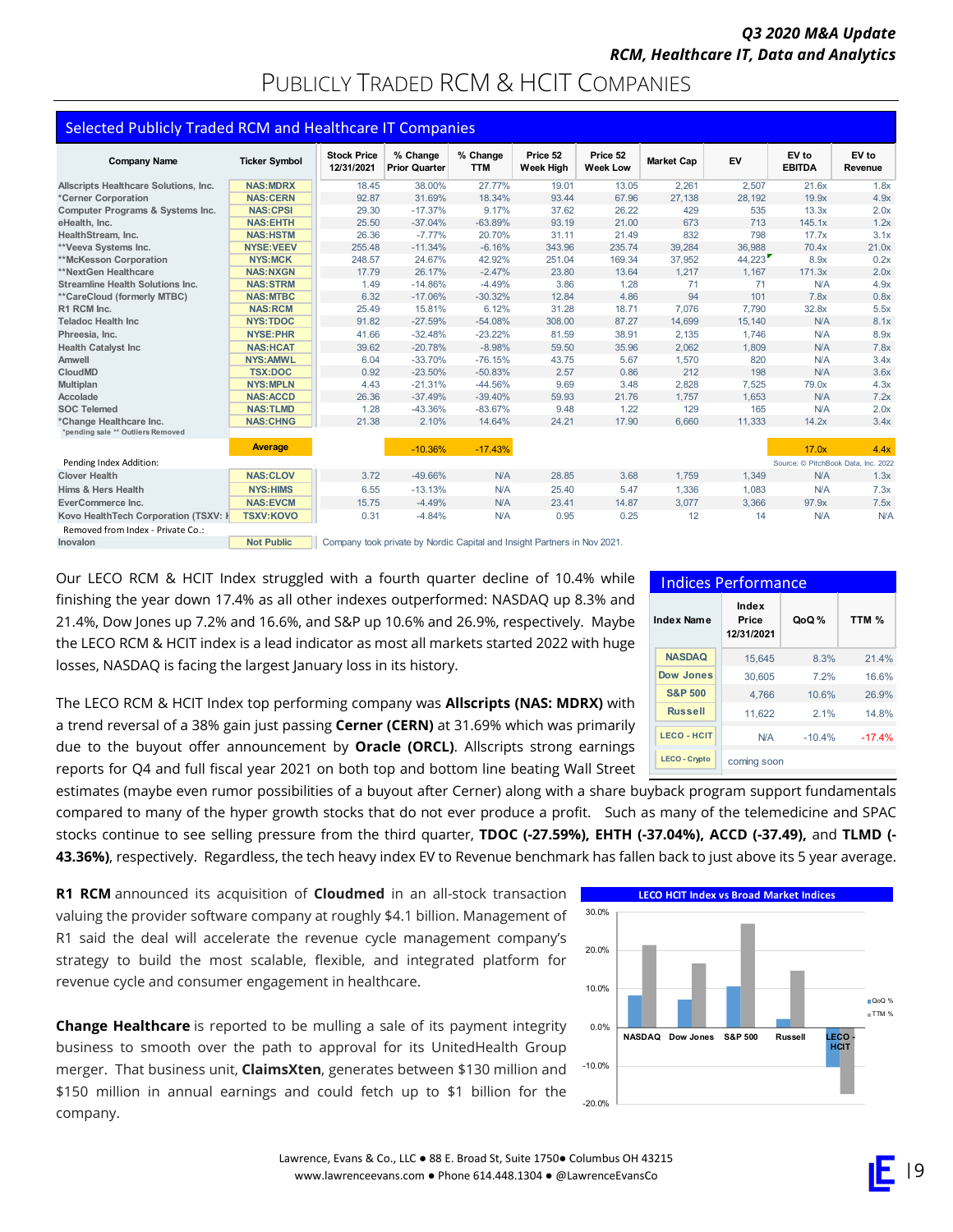### PUBLICLY TRADED RCM & HCIT COMPANIES

| <b>Selected Publicly Traded RCM and Healthcare IT Companies</b> |                      |                                  |                                                                          |                        |                              |                             |                   |        |                                     |                  |
|-----------------------------------------------------------------|----------------------|----------------------------------|--------------------------------------------------------------------------|------------------------|------------------------------|-----------------------------|-------------------|--------|-------------------------------------|------------------|
| <b>Company Name</b>                                             | <b>Ticker Symbol</b> | <b>Stock Price</b><br>12/31/2021 | % Change<br><b>Prior Quarter</b>                                         | % Change<br><b>TTM</b> | Price 52<br><b>Week High</b> | Price 52<br><b>Week Low</b> | <b>Market Cap</b> | EV     | EV to<br><b>EBITDA</b>              | EV to<br>Revenue |
| Allscripts Healthcare Solutions, Inc.                           | <b>NAS:MDRX</b>      | 18.45                            | 38.00%                                                                   | 27.77%                 | 19.01                        | 13.05                       | 2,261             | 2,507  | 21.6x                               | 1.8x             |
| *Cerner Corporation                                             | <b>NAS:CERN</b>      | 92.87                            | 31.69%                                                                   | 18.34%                 | 93.44                        | 67.96                       | 27,138            | 28,192 | 19.9x                               | 4.9x             |
| Computer Programs & Systems Inc.                                | <b>NAS:CPSI</b>      | 29.30                            | $-17.37%$                                                                | 9.17%                  | 37.62                        | 26.22                       | 429               | 535    | 13.3x                               | 2.0x             |
| eHealth, Inc.                                                   | <b>NAS:EHTH</b>      | 25.50                            | $-37.04%$                                                                | $-63.89%$              | 93.19                        | 21.00                       | 673               | 713    | 145.1x                              | 1.2x             |
| HealthStream, Inc.                                              | <b>NAS:HSTM</b>      | 26.36                            | $-7.77%$                                                                 | 20.70%                 | 31.11                        | 21.49                       | 832               | 798    | 17.7x                               | 3.1x             |
| **Veeva Systems Inc.                                            | <b>NYSE: VEEV</b>    | 255.48                           | $-11.34%$                                                                | $-6.16%$               | 343.96                       | 235.74                      | 39.284            | 36,988 | 70.4x                               | 21.0x            |
| **McKesson Corporation                                          | <b>NYS:MCK</b>       | 248.57                           | 24.67%                                                                   | 42.92%                 | 251.04                       | 169.34                      | 37,952            | 44,223 | 8.9x                                | 0.2x             |
| **NextGen Healthcare                                            | <b>NAS:NXGN</b>      | 17.79                            | 26.17%                                                                   | $-2.47%$               | 23.80                        | 13.64                       | 1,217             | 1,167  | 171.3x                              | 2.0x             |
| <b>Streamline Health Solutions Inc.</b>                         | <b>NAS:STRM</b>      | 1.49                             | $-14.86%$                                                                | $-4.49%$               | 3.86                         | 1.28                        | 71                | 71     | N/A                                 | 4.9x             |
| **CareCloud (formerly MTBC)                                     | <b>NAS:MTBC</b>      | 6.32                             | $-17.06%$                                                                | $-30.32%$              | 12.84                        | 4.86                        | 94                | 101    | 7.8x                                | 0.8x             |
| R1 RCM Inc.                                                     | <b>NAS:RCM</b>       | 25.49                            | 15.81%                                                                   | 6.12%                  | 31.28                        | 18.71                       | 7,076             | 7,790  | 32.8x                               | 5.5x             |
| <b>Teladoc Health Inc.</b>                                      | <b>NYS:TDOC</b>      | 91.82                            | $-27.59%$                                                                | $-54.08%$              | 308.00                       | 87.27                       | 14.699            | 15.140 | N/A                                 | 8.1x             |
| Phreesia, Inc.                                                  | <b>NYSE:PHR</b>      | 41.66                            | $-32.48%$                                                                | $-23.22%$              | 81.59                        | 38.91                       | 2,135             | 1,746  | N/A                                 | 8.9x             |
| <b>Health Catalyst Inc</b>                                      | <b>NAS:HCAT</b>      | 39.62                            | $-20.78%$                                                                | $-8.98%$               | 59.50                        | 35.96                       | 2,062             | 1.809  | N/A                                 | 7.8x             |
| Amwell                                                          | <b>NYS:AMWL</b>      | 6.04                             | $-33.70%$                                                                | $-76.15%$              | 43.75                        | 5.67                        | 1,570             | 820    | N/A                                 | 3.4x             |
| CloudMD                                                         | <b>TSX:DOC</b>       | 0.92                             | $-23.50%$                                                                | $-50.83%$              | 2.57                         | 0.86                        | 212               | 198    | N/A                                 | 3.6x             |
| Multiplan                                                       | <b>NYS:MPLN</b>      | 4.43                             | $-21.31%$                                                                | $-44.56%$              | 9.69                         | 3.48                        | 2,828             | 7,525  | 79.0x                               | 4.3x             |
| Accolade                                                        | <b>NAS:ACCD</b>      | 26.36                            | $-37.49%$                                                                | $-39.40%$              | 59.93                        | 21.76                       | 1,757             | 1,653  | N/A                                 | 7.2x             |
| <b>SOC Telemed</b>                                              | <b>NAS:TLMD</b>      | 1.28                             | $-43.36%$                                                                | $-83.67%$              | 9.48                         | 1.22                        | 129               | 165    | N/A                                 | 2.0x             |
| *Change Healthcare Inc.<br>*pending sale ** Outliers Removed    | <b>NAS:CHNG</b>      | 21.38                            | 2.10%                                                                    | 14.64%                 | 24.21                        | 17.90                       | 6,660             | 11,333 | 14.2x                               | 3.4x             |
|                                                                 | <b>Average</b>       |                                  | $-10.36%$                                                                | $-17.43%$              |                              |                             |                   |        | 17.0x                               | 4.4x             |
| Pending Index Addition:                                         |                      |                                  |                                                                          |                        |                              |                             |                   |        | Source: © PitchBook Data, Inc. 2022 |                  |
| <b>Clover Health</b>                                            | <b>NAS:CLOV</b>      | 3.72                             | $-49.66%$                                                                | N/A                    | 28.85                        | 3.68                        | 1,759             | 1,349  | N/A                                 | 1.3x             |
| Hims & Hers Health                                              | <b>NYS:HIMS</b>      | 6.55                             | $-13.13%$                                                                | <b>N/A</b>             | 25.40                        | 5.47                        | 1,336             | 1,083  | N/A                                 | 7.3x             |
| EverCommerce Inc.                                               | <b>NAS:EVCM</b>      | 15.75                            | $-4.49%$                                                                 | N/A                    | 23.41                        | 14.87                       | 3,077             | 3,366  | 97.9x                               | 7.5x             |
| Kovo HealthTech Corporation (TSXV: K                            | <b>TSXV:KOVO</b>     | 0.31                             | $-4.84%$                                                                 | N/A                    | 0.95                         | 0.25                        | 12                | 14     | N/A                                 | N/A              |
| Removed from Index - Private Co.:                               |                      |                                  |                                                                          |                        |                              |                             |                   |        |                                     |                  |
| Inovalon                                                        | <b>Not Public</b>    |                                  | Company took private by Nordic Capital and Insight Partners in Nov 2021. |                        |                              |                             |                   |        |                                     |                  |

Our LECO RCM & HCIT Index struggled with a fourth quarter decline of 10.4% while finishing the year down 17.4% as all other indexes outperformed: NASDAQ up 8.3% and 21.4%, Dow Jones up 7.2% and 16.6%, and S&P up 10.6% and 26.9%, respectively. Maybe the LECO RCM & HCIT index is a lead indicator as most all markets started 2022 with huge losses, NASDAQ is facing the largest January loss in its history.

The LECO RCM & HCIT Index top performing company was **Allscripts (NAS: MDRX)** with a trend reversal of a 38% gain just passing **Cerner (CERN)** at 31.69% which was primarily due to the buyout offer announcement by **Oracle (ORCL)**. Allscripts strong earnings reports for Q4 and full fiscal year 2021 on both top and bottom line beating Wall Street

estimates (maybe even rumor possibilities of a buyout after Cerner) along with a share buyback program support fundamentals compared to many of the hyper growth stocks that do not ever produce a profit. Such as many of the telemedicine and SPAC stocks continue to see selling pressure from the third quarter, **TDOC (-27.59%), EHTH (-37.04%), ACCD (-37.49),** and **TLMD (- 43.36%)**, respectively. Regardless, the tech heavy index EV to Revenue benchmark has fallen back to just above its 5 year average.

**R1 RCM** announced its acquisition of **Cloudmed** in an all-stock transaction valuing the provider software company at roughly \$4.1 billion. Management of R1 said the deal will accelerate the revenue cycle management company's strategy to build the most scalable, flexible, and integrated platform for revenue cycle and consumer engagement in healthcare.

**Change Healthcare** is reported to be mulling a sale of its payment integrity business to smooth over the path to approval for its UnitedHealth Group merger. That business unit, **ClaimsXten**, generates between \$130 million and \$150 million in annual earnings and could fetch up to \$1 billion for the company.

| <b>Indices Performance</b> |                              |          |          |  |  |  |  |
|----------------------------|------------------------------|----------|----------|--|--|--|--|
| Index Name                 | Index<br>Price<br>12/31/2021 | QoQ %    | TTM %    |  |  |  |  |
| <b>NASDAQ</b>              | 15.645                       | 8.3%     | 21.4%    |  |  |  |  |
| Dow Jones                  | 30.605                       | 7.2%     | 16.6%    |  |  |  |  |
| <b>S&amp;P 500</b>         | 4.766                        | 10.6%    | 26.9%    |  |  |  |  |
| <b>Russell</b>             | 11.622                       | 21%      | 14.8%    |  |  |  |  |
| <b>LECO - HCIT</b>         | N/A                          | $-10.4%$ | $-17.4%$ |  |  |  |  |
| <b>LECO - Crypto</b>       | coming soon                  |          |          |  |  |  |  |